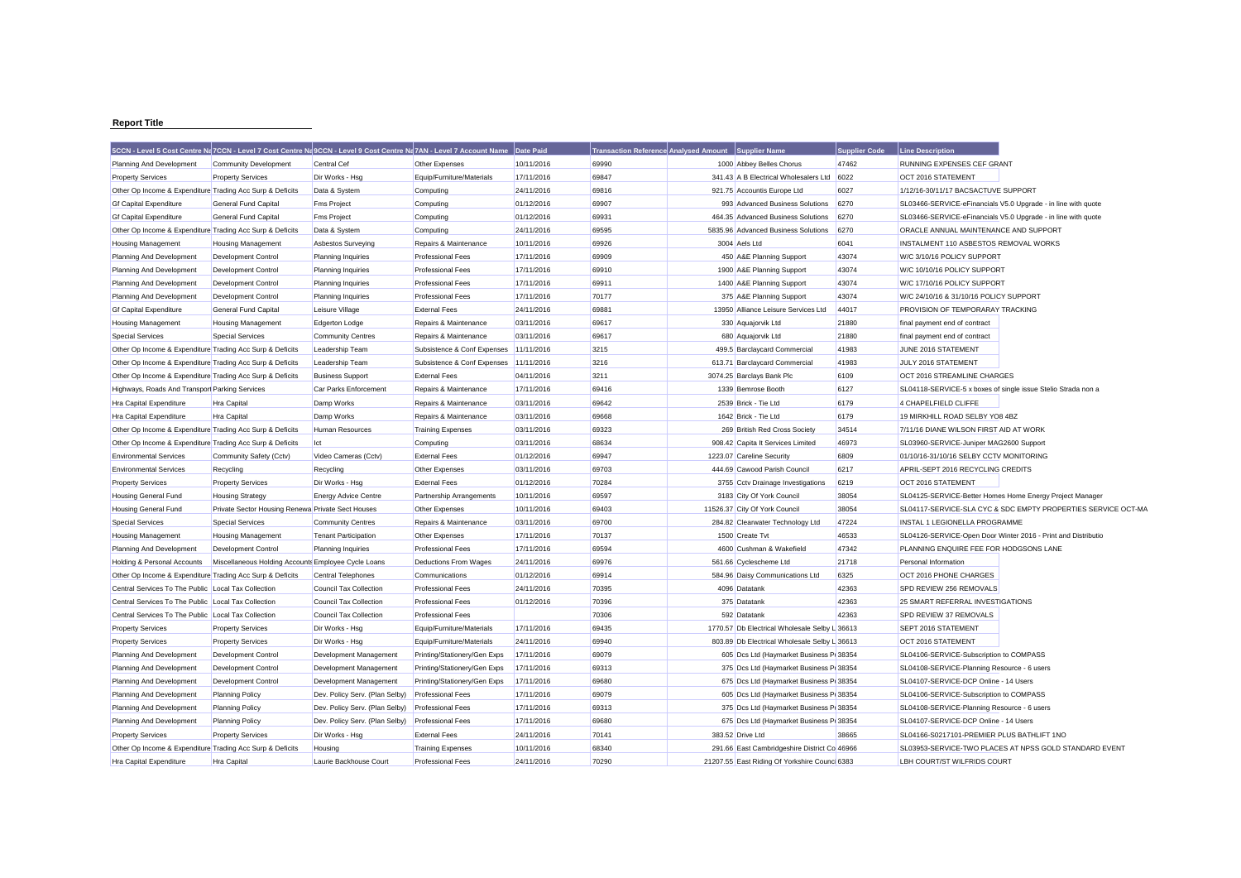## **Report Title**

|                                                                                                            |                                                     | 5CCN - Level 5 Cost Centre Na 7CCN - Level 7 Cost Centre Na 9CCN - Level 9 Cost Centre Na 7AN - Level 7 Account Name |                                        | Date Paid  | <b>Transaction Reference Analysed Amount</b> | <b>Supplier Name</b>                                          | <b>Supplier Code</b> | Line Description                                              |  |
|------------------------------------------------------------------------------------------------------------|-----------------------------------------------------|----------------------------------------------------------------------------------------------------------------------|----------------------------------------|------------|----------------------------------------------|---------------------------------------------------------------|----------------------|---------------------------------------------------------------|--|
| Planning And Development                                                                                   | <b>Community Development</b>                        | Central Cef                                                                                                          | Other Expenses                         | 10/11/2016 | 69990                                        | 1000 Abbey Belles Chorus                                      | 47462                | RUNNING EXPENSES CEF GRANT                                    |  |
| <b>Property Services</b>                                                                                   | <b>Property Services</b>                            | Dir Works - Hsg                                                                                                      | Equip/Furniture/Materials              | 17/11/2016 | 69847                                        | 341.43 A B Electrical Wholesalers Ltd                         | 6022                 | OCT 2016 STATEMENT                                            |  |
| Other Op Income & Expenditure Trading Acc Surp & Deficits                                                  |                                                     | Data & System                                                                                                        | Computing                              | 24/11/2016 | 69816                                        | 921.75 Accountis Europe Ltd                                   | 6027                 | 1/12/16-30/11/17 BACSACTUVE SUPPORT                           |  |
| <b>Gf Capital Expenditure</b>                                                                              | <b>General Fund Capital</b>                         | <b>Fms Project</b>                                                                                                   | Computing                              | 01/12/2016 | 69907                                        | 993 Advanced Business Solutions                               | 6270                 | SL03466-SERVICE-eFinancials V5.0 Upgrade - in line with quote |  |
| <b>Gf Capital Expenditure</b>                                                                              | General Fund Capital                                | <b>Fms Project</b>                                                                                                   | Computing                              | 01/12/2016 | 69931                                        | 464.35 Advanced Business Solutions                            | 6270                 | SL03466-SERVICE-eFinancials V5.0 Upgrade - in line with quote |  |
| Other Op Income & Expenditure Trading Acc Surp & Deficits                                                  |                                                     | Data & System                                                                                                        | Computing                              | 24/11/2016 | 69595                                        | 5835.96 Advanced Business Solutions                           | 6270                 | ORACLE ANNUAL MAINTENANCE AND SUPPORT                         |  |
| <b>Housing Management</b>                                                                                  | <b>Housing Management</b>                           | Asbestos Surveying                                                                                                   | Repairs & Maintenance                  | 10/11/2016 | 69926                                        | 3004 Aels Ltd                                                 | 6041                 | INSTALMENT 110 ASBESTOS REMOVAL WORKS                         |  |
| Planning And Development                                                                                   | <b>Development Control</b>                          | Planning Inquiries                                                                                                   | <b>Professional Fees</b>               | 17/11/2016 | 69909                                        | 450 A&E Planning Support                                      | 43074                | W/C 3/10/16 POLICY SUPPORT                                    |  |
| Planning And Development                                                                                   | Development Control                                 | Planning Inquiries                                                                                                   | <b>Professional Fees</b>               | 17/11/2016 | 69910                                        | 1900 A&E Planning Support                                     | 43074                | W/C 10/10/16 POLICY SUPPORT                                   |  |
| Planning And Development                                                                                   | <b>Development Control</b>                          | Planning Inquiries                                                                                                   | <b>Professional Fees</b>               | 17/11/2016 | 69911                                        | 1400 A&E Planning Support                                     | 43074                | W/C 17/10/16 POLICY SUPPORT                                   |  |
| Planning And Development                                                                                   | Development Control                                 | Planning Inquiries                                                                                                   | <b>Professional Fees</b>               | 17/11/2016 | 70177                                        | 375 A&E Planning Support                                      | 43074                | W/C 24/10/16 & 31/10/16 POLICY SUPPORT                        |  |
| <b>Gf Capital Expenditure</b>                                                                              | <b>General Fund Capital</b>                         | Leisure Village                                                                                                      | <b>External Fees</b>                   | 24/11/2016 | 69881                                        | 13950 Alliance Leisure Services Ltd                           | 44017                | PROVISION OF TEMPORARAY TRACKING                              |  |
| <b>Housing Management</b>                                                                                  | <b>Housing Management</b>                           | Edgerton Lodge                                                                                                       | Repairs & Maintenance                  | 03/11/2016 | 69617                                        | 330 Aquajorvik Ltd                                            | 21880                | final payment end of contract                                 |  |
| <b>Special Services</b>                                                                                    | <b>Special Services</b>                             | <b>Community Centres</b>                                                                                             | Repairs & Maintenance                  | 03/11/2016 | 69617                                        | 680 Aquajorvik Ltd                                            | 21880                | final payment end of contract                                 |  |
| Other Op Income & Expenditure Trading Acc Surp & Deficits                                                  |                                                     | Leadership Team                                                                                                      | Subsistence & Conf Expenses            | 11/11/2016 | 3215                                         | 499.5 Barclaycard Commercial                                  | 41983                | JUNE 2016 STATEMENT                                           |  |
| Other Op Income & Expenditure Trading Acc Surp & Deficits                                                  |                                                     | Leadership Team                                                                                                      | Subsistence & Conf Expenses 11/11/2016 |            | 3216                                         | 613.71 Barclaycard Commercial                                 | 41983                | JULY 2016 STATEMENT                                           |  |
| Other Op Income & Expenditure Trading Acc Surp & Deficits                                                  |                                                     | <b>Business Support</b>                                                                                              | <b>External Fees</b>                   | 04/11/2016 | 3211                                         | 3074.25 Barclays Bank Plc                                     | 6109                 | OCT 2016 STREAMLINE CHARGES                                   |  |
| Highways, Roads And Transpor Parking Services                                                              |                                                     | Car Parks Enforcement                                                                                                | Repairs & Maintenance                  | 17/11/2016 | 69416                                        | 1339 Bemrose Booth                                            | 6127                 | SL04118-SERVICE-5 x boxes of single issue Stelio Strada non a |  |
| <b>Hra Capital Expenditure</b>                                                                             | Hra Capital                                         | Damp Works                                                                                                           | Repairs & Maintenance                  | 03/11/2016 | 69642                                        | 2539 Brick - Tie Ltd                                          | 6179                 | 4 CHAPELFIELD CLIFFE                                          |  |
| <b>Hra Capital Expenditure</b>                                                                             | Hra Capital                                         | Damp Works                                                                                                           | Repairs & Maintenance                  | 03/11/2016 | 69668                                        | 1642 Brick - Tie Ltd                                          | 6179                 | 19 MIRKHILL ROAD SELBY YO8 4BZ                                |  |
| Other Op Income & Expenditure Trading Acc Surp & Deficits                                                  |                                                     | <b>Human Resources</b>                                                                                               | <b>Training Expenses</b>               | 03/11/2016 | 69323                                        | 269 British Red Cross Society                                 | 34514                | 7/11/16 DIANE WILSON FIRST AID AT WORK                        |  |
| Other Op Income & Expenditure Trading Acc Surp & Deficits                                                  |                                                     | Ict                                                                                                                  | Computing                              | 03/11/2016 | 68634                                        | 908.42 Capita It Services Limited                             | 46973                | SL03960-SERVICE-Juniper MAG2600 Support                       |  |
| <b>Environmental Services</b>                                                                              | Community Safety (Cctv)                             | Video Cameras (Cctv)                                                                                                 | <b>External Fees</b>                   | 01/12/2016 | 69947                                        | 1223.07 Careline Security                                     | 6809                 | 01/10/16-31/10/16 SELBY CCTV MONITORING                       |  |
| <b>Environmental Services</b>                                                                              | Recycling                                           | Recycling                                                                                                            | Other Expenses                         | 03/11/2016 | 69703                                        | 444.69 Cawood Parish Council                                  | 6217                 | APRIL-SEPT 2016 RECYCLING CREDITS                             |  |
| <b>Property Services</b>                                                                                   | <b>Property Services</b>                            | Dir Works - Hsg                                                                                                      | <b>External Fees</b>                   | 01/12/2016 | 70284                                        | 3755 Cctv Drainage Investigations                             | 6219                 | OCT 2016 STATEMENT                                            |  |
| Housing General Fund                                                                                       | <b>Housing Strategy</b>                             | <b>Energy Advice Centre</b>                                                                                          | <b>Partnership Arrangements</b>        | 10/11/2016 | 69597                                        | 3183 City Of York Council                                     | 38054                | SL04125-SERVICE-Better Homes Home Energy Project Manager      |  |
| <b>Housing General Fund</b>                                                                                | Private Sector Housing Renewa Private Sect Houses   |                                                                                                                      | Other Expenses                         | 10/11/2016 | 69403                                        | 11526.37 City Of York Council                                 | 38054                | SL04117-SERVICE-SLA CYC & SDC EMPTY PROPERTIES SERVICE OCT-MA |  |
| <b>Special Services</b>                                                                                    | <b>Special Services</b>                             | <b>Community Centres</b>                                                                                             | Repairs & Maintenance                  | 03/11/2016 | 69700                                        | 284.82 Clearwater Technology Ltd                              | 47224                | INSTAL 1 LEGIONELLA PROGRAMME                                 |  |
|                                                                                                            |                                                     | <b>Tenant Participation</b>                                                                                          |                                        | 17/11/2016 | 70137                                        | 1500 Create Tvt                                               | 46533                | SL04126-SERVICE-Open Door Winter 2016 - Print and Distributio |  |
| <b>Housing Management</b>                                                                                  | <b>Housing Management</b>                           |                                                                                                                      | Other Expenses                         |            | 69594                                        | 4600 Cushman & Wakefield                                      | 47342                |                                                               |  |
| Planning And Development                                                                                   | Development Control                                 | Planning Inquiries                                                                                                   | <b>Professional Fees</b>               | 17/11/2016 |                                              |                                                               | 21718                | PLANNING ENQUIRE FEE FOR HODGSONS LANE                        |  |
| Holding & Personal Accounts                                                                                | Miscellaneous Holding Accounts Employee Cycle Loans |                                                                                                                      | <b>Deductions From Wages</b>           | 24/11/2016 | 69976<br>69914                               | 561.66 Cyclescheme Ltd                                        |                      | Personal Information                                          |  |
| Other Op Income & Expenditure Trading Acc Surp & Deficits                                                  |                                                     | <b>Central Telephones</b>                                                                                            | Communications                         | 01/12/2016 |                                              | 584.96 Daisy Communications Ltd                               | 6325                 | OCT 2016 PHONE CHARGES                                        |  |
| Central Services To The Public Local Tax Collection<br>Central Services To The Public Local Tax Collection |                                                     | Council Tax Collection                                                                                               | <b>Professional Fees</b>               | 24/11/2016 | 70395<br>70396                               | 4096 Datatank<br>375 Datatank                                 | 42363<br>42363       | SPD REVIEW 256 REMOVALS<br>25 SMART REFERRAL INVESTIGATIONS   |  |
|                                                                                                            |                                                     | <b>Council Tax Collection</b>                                                                                        | <b>Professional Fees</b>               | 01/12/2016 |                                              |                                                               | 42363                |                                                               |  |
| Central Services To The Public Local Tax Collection                                                        |                                                     | <b>Council Tax Collection</b><br>Dir Works - Hsa                                                                     | <b>Professional Fees</b>               | 17/11/2016 | 70306<br>69435                               | 592 Datatank<br>1770.57 Db Electrical Wholesale Selby L 36613 |                      | SPD REVIEW 37 REMOVALS<br>SEPT 2016 STATEMENT                 |  |
| <b>Property Services</b>                                                                                   | <b>Property Services</b>                            |                                                                                                                      | Equip/Furniture/Materials              |            |                                              |                                                               |                      |                                                               |  |
| <b>Property Services</b>                                                                                   | <b>Property Services</b>                            | Dir Works - Hsg                                                                                                      | Equip/Furniture/Materials              | 24/11/2016 | 69940                                        | 803.89 Db Electrical Wholesale Selby L 36613                  |                      | OCT 2016 STATEMENT                                            |  |
| Planning And Development                                                                                   | <b>Development Control</b>                          | Development Management                                                                                               | Printing/Stationery/Gen Exps           | 17/11/2016 | 69079                                        | 605 Dcs Ltd (Haymarket Business P 38354                       |                      | SL04106-SERVICE-Subscription to COMPASS                       |  |
| Planning And Development                                                                                   | Development Control                                 | Development Management                                                                                               | Printing/Stationery/Gen Exps           | 17/11/2016 | 69313                                        | 375 Dcs Ltd (Haymarket Business P 38354                       |                      | SL04108-SERVICE-Planning Resource - 6 users                   |  |
| Planning And Development                                                                                   | <b>Development Control</b>                          | Development Management                                                                                               | Printing/Stationery/Gen Exps           | 17/11/2016 | 69680                                        | 675 Dcs Ltd (Haymarket Business P 38354                       |                      | SL04107-SERVICE-DCP Online - 14 Users                         |  |
| Planning And Development                                                                                   | <b>Planning Policy</b>                              | Dev. Policy Serv. (Plan Selby)                                                                                       | <b>Professional Fees</b>               | 17/11/2016 | 69079                                        | 605 Dcs Ltd (Haymarket Business P 38354                       |                      | SL04106-SERVICE-Subscription to COMPASS                       |  |
| Planning And Development                                                                                   | <b>Planning Policy</b>                              | Dev. Policy Serv. (Plan Selby)                                                                                       | <b>Professional Fees</b>               | 17/11/2016 | 69313                                        | 375 Dcs Ltd (Haymarket Business P 38354                       |                      | SL04108-SERVICE-Planning Resource - 6 users                   |  |
| Planning And Development                                                                                   | <b>Planning Policy</b>                              | Dev. Policy Serv. (Plan Selby)                                                                                       | <b>Professional Fees</b>               | 17/11/2016 | 69680                                        | 675 Dcs Ltd (Haymarket Business P 38354                       |                      | SL04107-SERVICE-DCP Online - 14 Users                         |  |
| <b>Property Services</b>                                                                                   | <b>Property Services</b>                            | Dir Works - Hsg                                                                                                      | <b>External Fees</b>                   | 24/11/2016 | 70141                                        | 383.52 Drive Ltd                                              | 38665                | SL04166-S0217101-PREMIER PLUS BATHLIFT 1NO                    |  |
| Other Op Income & Expenditure Trading Acc Surp & Deficits                                                  |                                                     | Housing                                                                                                              | <b>Training Expenses</b>               | 10/11/2016 | 68340                                        | 291.66 East Cambridgeshire District Co 46966                  |                      | SL03953-SERVICE-TWO PLACES AT NPSS GOLD STANDARD EVENT        |  |
| Hra Capital Expenditure                                                                                    | Hra Capital                                         | Laurie Backhouse Court                                                                                               | <b>Professional Fees</b>               | 24/11/2016 | 70290                                        | 21207.55 East Riding Of Yorkshire Counc 6383                  |                      | LBH COURT/ST WILFRIDS COURT                                   |  |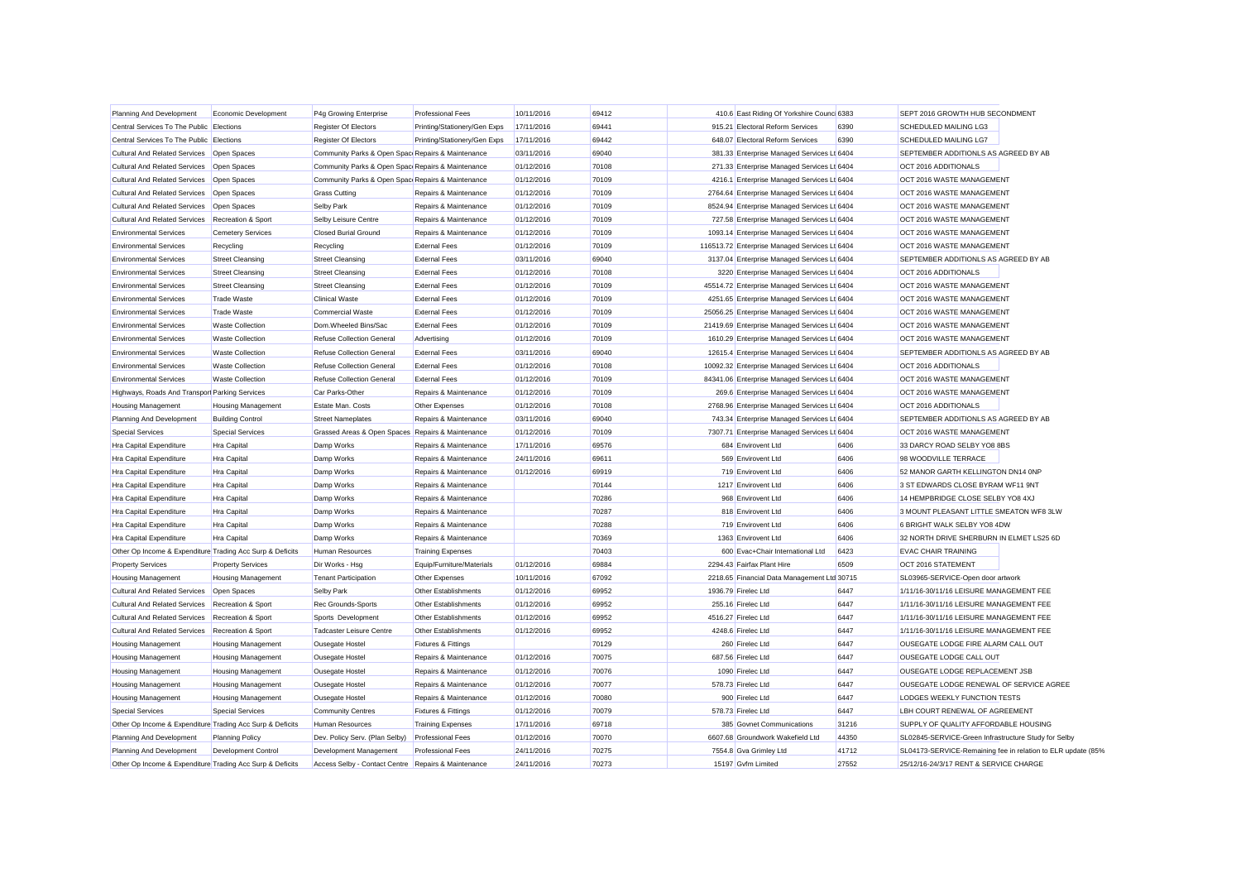| Planning And Development                                  | Economic Development       | P4g Growing Enterprise                              | <b>Professional Fees</b>       | 10/11/2016 | 69412 | 410.6 East Riding Of Yorkshire Counc 6383     |       | SEPT 2016 GROWTH HUB SECONDMENT                              |  |
|-----------------------------------------------------------|----------------------------|-----------------------------------------------------|--------------------------------|------------|-------|-----------------------------------------------|-------|--------------------------------------------------------------|--|
| Central Services To The Public Elections                  |                            | Register Of Electors                                | Printing/Stationery/Gen Exps   | 17/11/2016 | 69441 | 915.21 Electoral Reform Services              | 6390  | <b>SCHEDULED MAILING LG3</b>                                 |  |
| Central Services To The Public Elections                  |                            | <b>Register Of Electors</b>                         | Printing/Stationery/Gen Exps   | 17/11/2016 | 69442 | 648.07 Electoral Reform Services              | 6390  | SCHEDULED MAILING LG7                                        |  |
| <b>Cultural And Related Services</b>                      | Open Spaces                | Community Parks & Open Spac Repairs & Maintenance   |                                | 03/11/2016 | 69040 | 381.33 Enterprise Managed Services Lt 6404    |       | SEPTEMBER ADDITIONLS AS AGREED BY AB                         |  |
| <b>Cultural And Related Services</b>                      | Open Spaces                | Community Parks & Open Spac Repairs & Maintenance   |                                | 01/12/2016 | 70108 | 271.33 Enterprise Managed Services Lt 6404    |       | OCT 2016 ADDITIONALS                                         |  |
| <b>Cultural And Related Services</b>                      | Open Spaces                | Community Parks & Open Spac Repairs & Maintenance   |                                | 01/12/2016 | 70109 | 4216.1 Enterprise Managed Services Lt 6404    |       | OCT 2016 WASTE MANAGEMENT                                    |  |
| <b>Cultural And Related Services</b>                      | Open Spaces                | <b>Grass Cutting</b>                                | Repairs & Maintenance          | 01/12/2016 | 70109 | 2764.64 Enterprise Managed Services Lt 6404   |       | OCT 2016 WASTE MANAGEMENT                                    |  |
| <b>Cultural And Related Services</b>                      | Open Spaces                | <b>Selby Park</b>                                   | Repairs & Maintenance          | 01/12/2016 | 70109 | 8524.94 Enterprise Managed Services Lt 6404   |       | OCT 2016 WASTE MANAGEMENT                                    |  |
| <b>Cultural And Related Services</b>                      | Recreation & Sport         | Selby Leisure Centre                                | Repairs & Maintenance          | 01/12/2016 | 70109 | 727.58 Enterprise Managed Services Lt 6404    |       | OCT 2016 WASTE MANAGEMENT                                    |  |
| <b>Environmental Services</b>                             | <b>Cemetery Services</b>   | <b>Closed Burial Ground</b>                         | Repairs & Maintenance          | 01/12/2016 | 70109 | 1093.14 Enterprise Managed Services Lt 6404   |       | OCT 2016 WASTE MANAGEMENT                                    |  |
| <b>Environmental Services</b>                             | Recycling                  | Recycling                                           | <b>External Fees</b>           | 01/12/2016 | 70109 | 116513.72 Enterprise Managed Services Lt 6404 |       | OCT 2016 WASTE MANAGEMENT                                    |  |
| <b>Environmental Services</b>                             | <b>Street Cleansing</b>    | <b>Street Cleansing</b>                             | <b>External Fees</b>           | 03/11/2016 | 69040 | 3137.04 Enterprise Managed Services Lt 6404   |       | SEPTEMBER ADDITIONLS AS AGREED BY AB                         |  |
| <b>Environmental Services</b>                             | <b>Street Cleansing</b>    | <b>Street Cleansing</b>                             | <b>External Fees</b>           | 01/12/2016 | 70108 | 3220 Enterprise Managed Services Lt 6404      |       | OCT 2016 ADDITIONALS                                         |  |
| <b>Environmental Services</b>                             | <b>Street Cleansing</b>    | <b>Street Cleansing</b>                             | <b>External Fees</b>           | 01/12/2016 | 70109 | 45514.72 Enterprise Managed Services Lt 6404  |       | OCT 2016 WASTE MANAGEMENT                                    |  |
| <b>Environmental Services</b>                             | <b>Trade Waste</b>         | <b>Clinical Waste</b>                               | <b>External Fees</b>           | 01/12/2016 | 70109 | 4251.65 Enterprise Managed Services Lt 6404   |       | OCT 2016 WASTE MANAGEMENT                                    |  |
| <b>Environmental Services</b>                             | <b>Trade Waste</b>         | <b>Commercial Waste</b>                             | <b>External Fees</b>           | 01/12/2016 | 70109 | 25056.25 Enterprise Managed Services Lt 6404  |       | OCT 2016 WASTE MANAGEMENT                                    |  |
| <b>Environmental Services</b>                             | <b>Waste Collection</b>    | Dom.Wheeled Bins/Sac                                | <b>External Fees</b>           | 01/12/2016 | 70109 | 21419.69 Enterprise Managed Services Lt 6404  |       | OCT 2016 WASTE MANAGEMENT                                    |  |
| <b>Environmental Services</b>                             | <b>Waste Collection</b>    | <b>Refuse Collection General</b>                    | Advertising                    | 01/12/2016 | 70109 | 1610.29 Enterprise Managed Services Lt 6404   |       | OCT 2016 WASTE MANAGEMENT                                    |  |
| <b>Environmental Services</b>                             | <b>Waste Collection</b>    | <b>Refuse Collection General</b>                    | <b>External Fees</b>           | 03/11/2016 | 69040 | 12615.4 Enterprise Managed Services Lt 6404   |       | SEPTEMBER ADDITIONLS AS AGREED BY AB                         |  |
| <b>Environmental Services</b>                             | <b>Waste Collection</b>    | <b>Refuse Collection General</b>                    | <b>External Fees</b>           | 01/12/2016 | 70108 | 10092.32 Enterprise Managed Services Lt 6404  |       | OCT 2016 ADDITIONALS                                         |  |
| <b>Environmental Services</b>                             | <b>Waste Collection</b>    | <b>Refuse Collection General</b>                    | <b>External Fees</b>           | 01/12/2016 | 70109 | 84341.06 Enterprise Managed Services Lt 6404  |       | OCT 2016 WASTE MANAGEMENT                                    |  |
| Highways, Roads And Transpor Parking Services             |                            | Car Parks-Other                                     | Repairs & Maintenance          | 01/12/2016 | 70109 | 269.6 Enterprise Managed Services Lt 6404     |       | OCT 2016 WASTE MANAGEMENT                                    |  |
| <b>Housing Management</b>                                 | <b>Housing Management</b>  | Estate Man. Costs                                   | Other Expenses                 | 01/12/2016 | 70108 | 2768.96 Enterprise Managed Services Lt 6404   |       | OCT 2016 ADDITIONALS                                         |  |
| Planning And Development                                  | <b>Building Control</b>    | <b>Street Nameplates</b>                            | Repairs & Maintenance          | 03/11/2016 | 69040 | 743.34 Enterprise Managed Services Lt 6404    |       | SEPTEMBER ADDITIONLS AS AGREED BY AB                         |  |
| <b>Special Services</b>                                   | <b>Special Services</b>    | Grassed Areas & Open Spaces Repairs & Maintenance   |                                | 01/12/2016 | 70109 | 7307.71 Enterprise Managed Services Lt 6404   |       | OCT 2016 WASTE MANAGEMENT                                    |  |
| Hra Capital Expenditure                                   | <b>Hra Capital</b>         | Damp Works                                          | Repairs & Maintenance          | 17/11/2016 | 69576 | 684 Envirovent Ltd                            | 6406  | 33 DARCY ROAD SELBY YO8 8BS                                  |  |
| Hra Capital Expenditure                                   | <b>Hra Capital</b>         | Damp Works                                          | Repairs & Maintenance          | 24/11/2016 | 69611 | 569 Envirovent Ltd                            | 6406  | 98 WOODVILLE TERRACE                                         |  |
| Hra Capital Expenditure                                   | <b>Hra Capital</b>         | Damp Works                                          | Repairs & Maintenance          | 01/12/2016 | 69919 | 719 Envirovent Ltd                            | 6406  | 52 MANOR GARTH KELLINGTON DN14 ONP                           |  |
| Hra Capital Expenditure                                   | <b>Hra Capital</b>         | Damp Works                                          | Repairs & Maintenance          |            | 70144 | 1217 Envirovent Ltd                           | 6406  | 3 ST EDWARDS CLOSE BYRAM WF11 9NT                            |  |
| Hra Capital Expenditure                                   | Hra Capital                | Damp Works                                          | Repairs & Maintenance          |            | 70286 | 968 Envirovent Ltd                            | 6406  | 14 HEMPBRIDGE CLOSE SELBY YO8 4XJ                            |  |
| Hra Capital Expenditure                                   | Hra Capital                | Damp Works                                          | Repairs & Maintenance          |            | 70287 | 818 Envirovent Ltd                            | 6406  | 3 MOUNT PLEASANT LITTLE SMEATON WF8 3LW                      |  |
| Hra Capital Expenditure                                   | Hra Capital                | Damp Works                                          | Repairs & Maintenance          |            | 70288 | 719 Envirovent Ltd                            | 6406  | 6 BRIGHT WALK SELBY YO8 4DW                                  |  |
| Hra Capital Expenditure                                   | Hra Capital                | Damp Works                                          | Repairs & Maintenance          |            | 70369 | 1363 Envirovent Ltd                           | 6406  | 32 NORTH DRIVE SHERBURN IN ELMET LS25 6D                     |  |
| Other Op Income & Expenditure Trading Acc Surp & Deficits |                            | <b>Human Resources</b>                              | <b>Training Expenses</b>       |            | 70403 | 600 Evac+Chair International Ltd              | 6423  | <b>EVAC CHAIR TRAINING</b>                                   |  |
| <b>Property Services</b>                                  | <b>Property Services</b>   | Dir Works - Hsg                                     | Equip/Furniture/Materials      | 01/12/2016 | 69884 | 2294.43 Fairfax Plant Hire                    | 6509  | OCT 2016 STATEMENT                                           |  |
| <b>Housing Management</b>                                 | <b>Housing Management</b>  | <b>Tenant Participation</b>                         | Other Expenses                 | 10/11/2016 | 67092 | 2218.65 Financial Data Management Ltd 30715   |       | SL03965-SERVICE-Open door artwork                            |  |
| <b>Cultural And Related Services</b>                      | Open Spaces                | <b>Selby Park</b>                                   | Other Establishments           | 01/12/2016 | 69952 | 1936.79 Firelec Ltd                           | 6447  | 1/11/16-30/11/16 LEISURE MANAGEMENT FEE                      |  |
| <b>Cultural And Related Services</b>                      | Recreation & Sport         | <b>Rec Grounds-Sports</b>                           | <b>Other Establishments</b>    | 01/12/2016 | 69952 | 255.16 Firelec Ltd                            | 6447  | 1/11/16-30/11/16 LEISURE MANAGEMENT FEE                      |  |
| <b>Cultural And Related Services</b>                      | Recreation & Sport         | Sports Development                                  | Other Establishments           | 01/12/2016 | 69952 | 4516.27 Firelec Ltd                           | 6447  | 1/11/16-30/11/16 LEISURE MANAGEMENT FEE                      |  |
| <b>Cultural And Related Services</b>                      | Recreation & Sport         | Tadcaster Leisure Centre                            | Other Establishments           | 01/12/2016 | 69952 | 4248.6 Firelec Ltd                            | 6447  | 1/11/16-30/11/16 LEISURE MANAGEMENT FEE                      |  |
| <b>Housing Management</b>                                 | <b>Housing Management</b>  | Ousegate Hostel                                     | <b>Fixtures &amp; Fittings</b> |            | 70129 | 260 Firelec Ltd                               | 6447  | OUSEGATE LODGE FIRE ALARM CALL OUT                           |  |
| <b>Housing Management</b>                                 | <b>Housing Management</b>  | Ousegate Hostel                                     | Repairs & Maintenance          | 01/12/2016 | 70075 | 687.56 Firelec Ltd                            | 6447  | OUSEGATE LODGE CALL OUT                                      |  |
| <b>Housing Management</b>                                 | <b>Housing Management</b>  | Ousegate Hostel                                     | Repairs & Maintenance          | 01/12/2016 | 70076 | 1090 Firelec Ltd                              | 6447  | OUSEGATE LODGE REPLACEMENT JSB                               |  |
| <b>Housing Management</b>                                 | <b>Housing Management</b>  | Ousegate Hostel                                     | Repairs & Maintenance          | 01/12/2016 | 70077 | 578.73 Firelec Ltd                            | 6447  | OUSEGATE LODGE RENEWAL OF SERVICE AGREE                      |  |
| <b>Housing Management</b>                                 | <b>Housing Management</b>  | Ousegate Hostel                                     | Repairs & Maintenance          | 01/12/2016 | 70080 | 900 Firelec Ltd                               | 6447  | LODGES WEEKLY FUNCTION TESTS                                 |  |
| <b>Special Services</b>                                   | <b>Special Services</b>    | <b>Community Centres</b>                            | <b>Fixtures &amp; Fittings</b> | 01/12/2016 | 70079 | 578.73 Firelec Ltd                            | 6447  | LBH COURT RENEWAL OF AGREEMENT                               |  |
| Other Op Income & Expenditure Trading Acc Surp & Deficits |                            | <b>Human Resources</b>                              | <b>Training Expenses</b>       | 17/11/2016 | 69718 | 385 Govnet Communications                     | 31216 | SUPPLY OF QUALITY AFFORDABLE HOUSING                         |  |
| Planning And Development                                  | <b>Planning Policy</b>     | Dev. Policy Serv. (Plan Selby)                      | <b>Professional Fees</b>       | 01/12/2016 | 70070 | 6607.68 Groundwork Wakefield Ltd              | 44350 | SL02845-SERVICE-Green Infrastructure Study for Selby         |  |
| Planning And Development                                  | <b>Development Control</b> | Development Management                              | <b>Professional Fees</b>       | 24/11/2016 | 70275 | 7554.8 Gva Grimley Ltd                        | 41712 | SL04173-SERVICE-Remaining fee in relation to ELR update (85% |  |
| Other Op Income & Expenditure Trading Acc Surp & Deficits |                            | Access Selby - Contact Centre Repairs & Maintenance |                                | 24/11/2016 | 70273 | 15197 Gvfm Limited                            | 27552 | 25/12/16-24/3/17 RENT & SERVICE CHARGE                       |  |
|                                                           |                            |                                                     |                                |            |       |                                               |       |                                                              |  |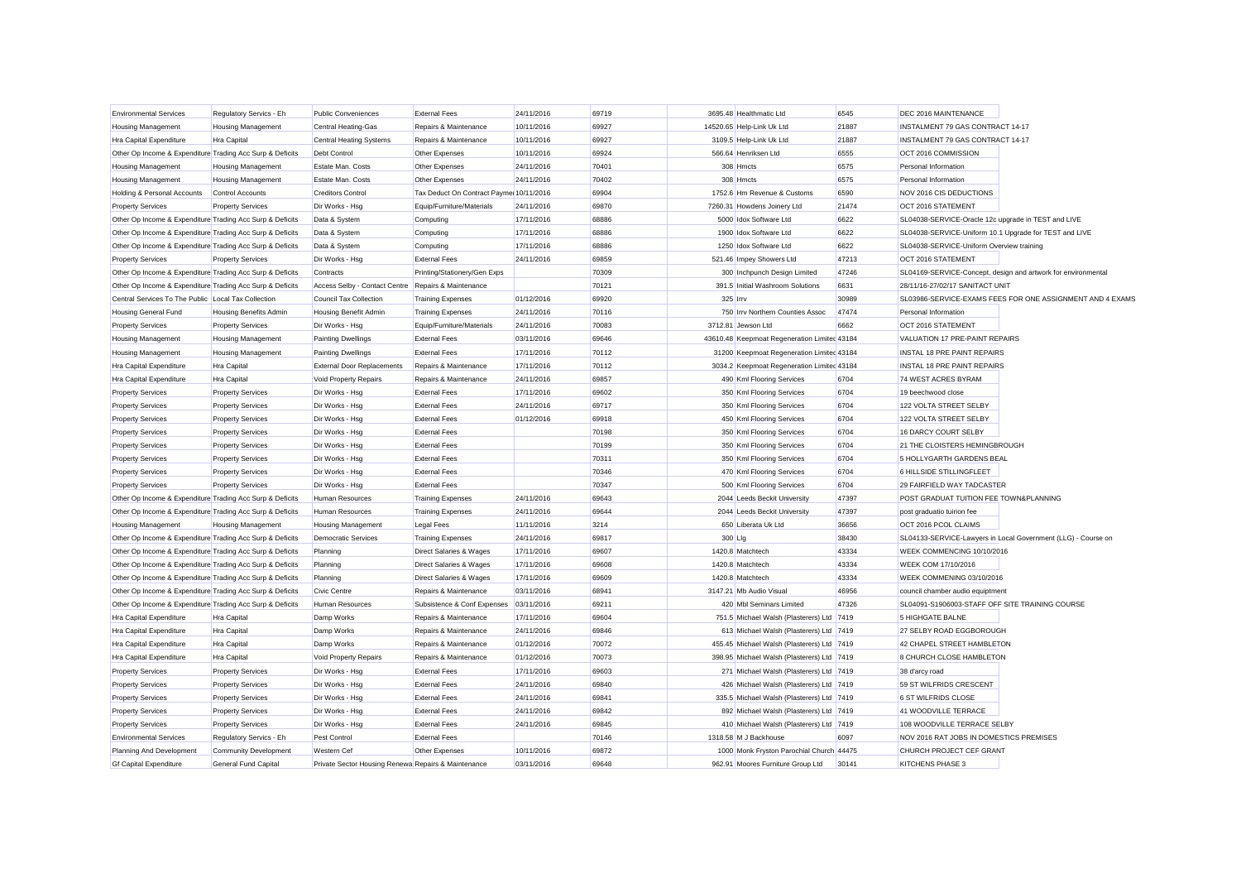| <b>Environmental Services</b>                             | Regulatory Servics - Eh       | <b>Public Conveniences</b>                          | <b>External Fees</b>                    | 24/11/2016 | 69719 |          | 3695.48 Healthmatic Ltd                      | 6545  | DEC 2016 MAINTENANCE                                   |                                                               |
|-----------------------------------------------------------|-------------------------------|-----------------------------------------------------|-----------------------------------------|------------|-------|----------|----------------------------------------------|-------|--------------------------------------------------------|---------------------------------------------------------------|
| Housing Management                                        | <b>Housing Management</b>     | Central Heating-Gas                                 | Repairs & Maintenance                   | 10/11/2016 | 69927 |          | 14520.65 Help-Link Uk Ltd                    | 21887 | INSTALMENT 79 GAS CONTRACT 14-17                       |                                                               |
| Hra Capital Expenditure                                   | Hra Capital                   | <b>Central Heating Systems</b>                      | Repairs & Maintenance                   | 10/11/2016 | 69927 |          | 3109.5 Help-Link Uk Ltd                      | 21887 | INSTALMENT 79 GAS CONTRACT 14-17                       |                                                               |
| Other Op Income & Expenditure Trading Acc Surp & Deficits |                               | Debt Control                                        | Other Expenses                          | 10/11/2016 | 69924 |          | 566.64 Henriksen Ltd                         | 6555  | OCT 2016 COMMISSION                                    |                                                               |
| <b>Housing Management</b>                                 | <b>Housing Management</b>     | Estate Man. Costs                                   | Other Expenses                          | 24/11/2016 | 70401 |          | 308 Hmcts                                    | 6575  | Personal Information                                   |                                                               |
| Housing Management                                        | <b>Housing Management</b>     | Estate Man, Costs                                   | Other Expenses                          | 24/11/2016 | 70402 |          | 308 Hmcts                                    | 6575  | Personal Information                                   |                                                               |
| Holding & Personal Accounts                               | <b>Control Accounts</b>       | <b>Creditors Control</b>                            | Tax Deduct On Contract Payme 10/11/2016 |            | 69904 |          | 1752.6 Hm Revenue & Customs                  | 6590  | NOV 2016 CIS DEDUCTIONS                                |                                                               |
| <b>Property Services</b>                                  | <b>Property Services</b>      | Dir Works - Hsg                                     | Equip/Furniture/Materials               | 24/11/2016 | 69870 |          | 7260.31 Howdens Joinery Ltd                  | 21474 | OCT 2016 STATEMENT                                     |                                                               |
| Other Op Income & Expenditure Trading Acc Surp & Deficits |                               | Data & System                                       | Computing                               | 17/11/2016 | 68886 |          | 5000 Idox Software Ltd                       | 6622  | SL04038-SERVICE-Oracle 12c upgrade in TEST and LIVE    |                                                               |
| Other Op Income & Expenditure Trading Acc Surp & Deficits |                               | Data & System                                       | Computing                               | 17/11/2016 | 68886 |          | 1900 Idox Software Ltd                       | 6622  | SL04038-SERVICE-Uniform 10.1 Upgrade for TEST and LIVE |                                                               |
| Other Op Income & Expenditure Trading Acc Surp & Deficits |                               | Data & System                                       | Computing                               | 17/11/2016 | 68886 |          | 1250 Idox Software Ltd                       | 6622  | SL04038-SERVICE-Uniform Overview training              |                                                               |
| <b>Property Services</b>                                  | <b>Property Services</b>      | Dir Works - Hsg                                     | <b>External Fees</b>                    | 24/11/2016 | 69859 |          | 521.46 Impey Showers Ltd                     | 47213 | OCT 2016 STATEMENT                                     |                                                               |
| Other Op Income & Expenditure Trading Acc Surp & Deficits |                               | Contracts                                           | Printing/Stationery/Gen Exps            |            | 70309 |          | 300 Inchpunch Design Limited                 | 47246 |                                                        | SL04169-SERVICE-Concept, design and artwork for environmental |
| Other Op Income & Expenditure Trading Acc Surp & Deficits |                               | Access Selby - Contact Centre Repairs & Maintenance |                                         |            | 70121 |          | 391.5 Initial Washroom Solutions             | 6631  | 28/11/16-27/02/17 SANITACT UNIT                        |                                                               |
| Central Services To The Public Local Tax Collection       |                               | Council Tax Collection                              | <b>Training Expenses</b>                | 01/12/2016 | 69920 | 325 Irrv |                                              | 30989 |                                                        | SL03986-SERVICE-EXAMS FEES FOR ONE ASSIGNMENT AND 4 EXAMS     |
| <b>Housing General Fund</b>                               | <b>Housing Benefits Admin</b> | Housing Benefit Admin                               | <b>Training Expenses</b>                | 24/11/2016 | 70116 |          | 750 Irrv Northern Counties Assoc             | 47474 | Personal Information                                   |                                                               |
| <b>Property Services</b>                                  | <b>Property Services</b>      | Dir Works - Hsg                                     | Equip/Furniture/Materials               | 24/11/2016 | 70083 |          | 3712.81 Jewson Ltd                           | 6662  | OCT 2016 STATEMENT                                     |                                                               |
| Housing Management                                        | <b>Housing Management</b>     | <b>Painting Dwellings</b>                           | <b>External Fees</b>                    | 03/11/2016 | 69646 |          | 43610.48 Keepmoat Regeneration Limited 43184 |       | VALUATION 17 PRE-PAINT REPAIRS                         |                                                               |
| Housing Management                                        | <b>Housing Management</b>     | <b>Painting Dwellings</b>                           | <b>External Fees</b>                    | 17/11/2016 | 70112 |          | 31200 Keepmoat Regeneration Limited 43184    |       | <b>INSTAL 18 PRE PAINT REPAIRS</b>                     |                                                               |
| <b>Hra Capital Expenditure</b>                            | <b>Hra Capital</b>            | <b>External Door Replacements</b>                   | Repairs & Maintenance                   | 17/11/2016 | 70112 |          | 3034.2 Keepmoat Regeneration Limited 43184   |       | <b>INSTAL 18 PRE PAINT REPAIRS</b>                     |                                                               |
| <b>Hra Capital Expenditure</b>                            | <b>Hra Capital</b>            | Void Property Repairs                               | Repairs & Maintenance                   | 24/11/2016 | 69857 |          | 490 Kml Flooring Services                    | 6704  | 74 WEST ACRES BYRAM                                    |                                                               |
| <b>Property Services</b>                                  | <b>Property Services</b>      | Dir Works - Hsg                                     | <b>External Fees</b>                    | 17/11/2016 | 69602 |          | 350 Kml Flooring Services                    | 6704  | 19 beechwood close                                     |                                                               |
| <b>Property Services</b>                                  | <b>Property Services</b>      | Dir Works - Hsg                                     | <b>External Fees</b>                    | 24/11/2016 | 69717 |          | 350 Kml Flooring Services                    | 6704  | 122 VOLTA STREET SELBY                                 |                                                               |
| <b>Property Services</b>                                  | <b>Property Services</b>      | Dir Works - Hsg                                     | <b>External Fees</b>                    | 01/12/2016 | 69918 |          | 450 Kml Flooring Services                    | 6704  | 122 VOLTA STREET SELBY                                 |                                                               |
| <b>Property Services</b>                                  | <b>Property Services</b>      | Dir Works - Hsg                                     | <b>External Fees</b>                    |            | 70198 |          | 350 Kml Flooring Services                    | 6704  | 16 DARCY COURT SELBY                                   |                                                               |
| <b>Property Services</b>                                  | <b>Property Services</b>      | Dir Works - Hsg                                     | <b>External Fees</b>                    |            | 70199 |          | 350 Kml Flooring Services                    | 6704  | 21 THE CLOISTERS HEMINGBROUGH                          |                                                               |
| <b>Property Services</b>                                  | <b>Property Services</b>      | Dir Works - Hsg                                     | <b>External Fees</b>                    |            | 70311 |          | 350 Kml Flooring Services                    | 6704  | 5 HOLLYGARTH GARDENS BEAL                              |                                                               |
| <b>Property Services</b>                                  | <b>Property Services</b>      | Dir Works - Hsg                                     | <b>External Fees</b>                    |            | 70346 |          | 470 Kml Flooring Services                    | 6704  | 6 HILLSIDE STILLINGFLEET                               |                                                               |
| <b>Property Services</b>                                  | <b>Property Services</b>      | Dir Works - Hsg                                     | <b>External Fees</b>                    |            | 70347 |          | 500 Kml Flooring Services                    | 6704  | 29 FAIRFIELD WAY TADCASTER                             |                                                               |
| Other Op Income & Expenditure Trading Acc Surp & Deficits |                               | <b>Human Resources</b>                              | <b>Training Expenses</b>                | 24/11/2016 | 69643 |          | 2044 Leeds Beckit University                 | 47397 | POST GRADUAT TUITION FEE TOWN&PLANNING                 |                                                               |
| Other Op Income & Expenditure Trading Acc Surp & Deficits |                               | <b>Human Resources</b>                              | <b>Training Expenses</b>                | 24/11/2016 | 69644 |          | 2044 Leeds Beckit University                 | 47397 | post graduatio tuirion fee                             |                                                               |
| <b>Housing Management</b>                                 | <b>Housing Management</b>     | <b>Housing Management</b>                           | <b>Legal Fees</b>                       | 11/11/2016 | 3214  |          | 650 Liberata Uk Ltd                          | 36656 | OCT 2016 PCOL CLAIMS                                   |                                                               |
| Other Op Income & Expenditure Trading Acc Surp & Deficits |                               | <b>Democratic Services</b>                          | <b>Training Expenses</b>                | 24/11/2016 | 69817 | 300 Llg  |                                              | 38430 |                                                        | SL04133-SERVICE-Lawyers in Local Government (LLG) - Course on |
| Other Op Income & Expenditure Trading Acc Surp & Deficits |                               | Planning                                            | Direct Salaries & Wages                 | 17/11/2016 | 69607 |          | 1420.8 Matchtech                             | 43334 | WEEK COMMENCING 10/10/2016                             |                                                               |
| Other Op Income & Expenditure Trading Acc Surp & Deficits |                               | Planning                                            | Direct Salaries & Wages                 | 17/11/2016 | 69608 |          | 1420.8 Matchtech                             | 43334 | WEEK COM 17/10/2016                                    |                                                               |
| Other Op Income & Expenditure Trading Acc Surp & Deficits |                               | Planning                                            | Direct Salaries & Wages                 | 17/11/2016 | 69609 |          | 1420.8 Matchtech                             | 43334 | WEEK COMMENING 03/10/2016                              |                                                               |
| Other Op Income & Expenditure Trading Acc Surp & Deficits |                               | Civic Centre                                        | Repairs & Maintenance                   | 03/11/2016 | 68941 |          | 3147.21 Mb Audio Visual                      | 46956 | council chamber audio equiptment                       |                                                               |
| Other Op Income & Expenditure Trading Acc Surp & Deficits |                               | <b>Human Resources</b>                              | Subsistence & Conf Expenses             | 03/11/2016 | 69211 |          | 420 Mbl Seminars Limited                     | 47326 | SL04091-S1906003-STAFF OFF SITE TRAINING COURSE        |                                                               |
| <b>Hra Capital Expenditure</b>                            | Hra Capital                   | Damp Works                                          | Repairs & Maintenance                   | 17/11/2016 | 69604 |          | 751.5 Michael Walsh (Plasterers) Ltd 7419    |       | <b>5 HIGHGATE BALNE</b>                                |                                                               |
| <b>Hra Capital Expenditure</b>                            | <b>Hra Capital</b>            | Damp Works                                          | Repairs & Maintenance                   | 24/11/2016 | 69846 |          | 613 Michael Walsh (Plasterers) Ltd 7419      |       | 27 SELBY ROAD EGGBOROUGH                               |                                                               |
| <b>Hra Capital Expenditure</b>                            | <b>Hra Capital</b>            | Damp Works                                          | Repairs & Maintenance                   | 01/12/2016 | 70072 |          | 455.45 Michael Walsh (Plasterers) Ltd 7419   |       | 42 CHAPEL STREET HAMBLETON                             |                                                               |
| <b>Hra Capital Expenditure</b>                            | <b>Hra Capital</b>            | Void Property Repairs                               | Repairs & Maintenance                   | 01/12/2016 | 70073 |          | 398.95 Michael Walsh (Plasterers) Ltd 7419   |       | 8 CHURCH CLOSE HAMBLETON                               |                                                               |
| <b>Property Services</b>                                  | <b>Property Services</b>      | Dir Works - Hsg                                     | <b>External Fees</b>                    | 17/11/2016 | 69603 |          | 271 Michael Walsh (Plasterers) Ltd 7419      |       | 38 d'arcy road                                         |                                                               |
| <b>Property Services</b>                                  | <b>Property Services</b>      | Dir Works - Hsg                                     | <b>External Fees</b>                    | 24/11/2016 | 69840 |          | 426 Michael Walsh (Plasterers) Ltd 7419      |       | 59 ST WILFRIDS CRESCENT                                |                                                               |
| <b>Property Services</b>                                  | <b>Property Services</b>      | Dir Works - Hsg                                     | <b>External Fees</b>                    | 24/11/2016 | 69841 |          | 335.5 Michael Walsh (Plasterers) Ltd 7419    |       | 6 ST WILFRIDS CLOSE                                    |                                                               |
| <b>Property Services</b>                                  | <b>Property Services</b>      | Dir Works - Hsg                                     | <b>External Fees</b>                    | 24/11/2016 | 69842 |          | 892 Michael Walsh (Plasterers) Ltd 7419      |       | 41 WOODVILLE TERRACE                                   |                                                               |
| <b>Property Services</b>                                  | <b>Property Services</b>      | Dir Works - Hsg                                     | <b>External Fees</b>                    | 24/11/2016 | 69845 |          | 410 Michael Walsh (Plasterers) Ltd 7419      |       | 108 WOODVILLE TERRACE SELBY                            |                                                               |
| <b>Environmental Services</b>                             | Regulatory Servics - Eh       | Pest Control                                        | <b>External Fees</b>                    |            | 70146 |          | 1318.58 M J Backhouse                        | 6097  | NOV 2016 RAT JOBS IN DOMESTICS PREMISES                |                                                               |
| Planning And Development                                  | <b>Community Development</b>  | <b>Western</b> Cef                                  | Other Expenses                          | 10/11/2016 | 69872 |          | 1000 Monk Fryston Parochial Church 44475     |       | CHURCH PROJECT CEF GRANT                               |                                                               |
| <b>Gf Capital Expenditure</b>                             | General Fund Capital          | Private Sector Housing Renewa Repairs & Maintenance |                                         | 03/11/2016 | 69648 |          | 962.91 Moores Furniture Group Ltd            | 30141 | KITCHENS PHASE 3                                       |                                                               |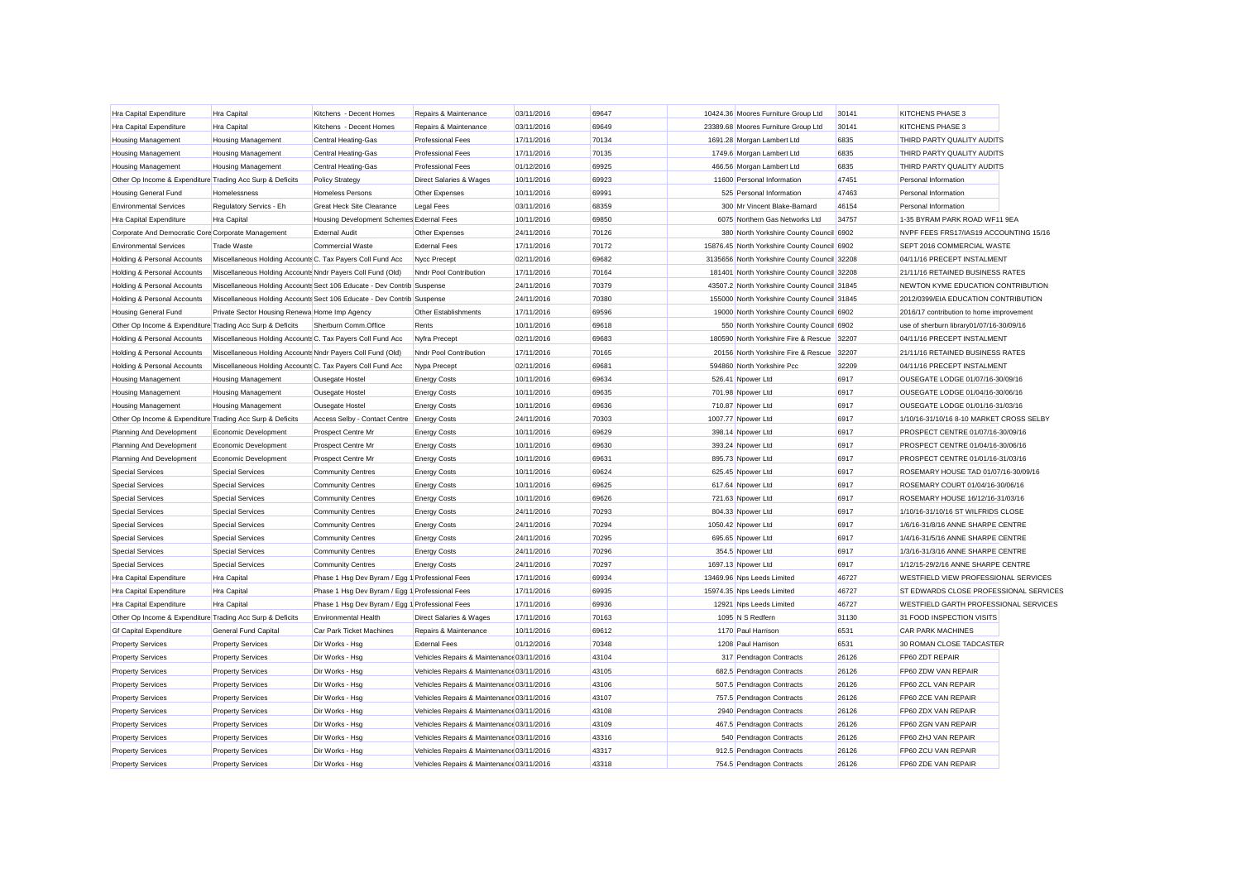| Hra Capital Expenditure                                   | Hra Capital                                                | Kitchens - Decent Homes                                                | Repairs & Maintenance                     | 03/11/2016 | 69647 | 10424.36 Moores Furniture Group Ltd          | 30141          | KITCHENS PHASE 3                         |  |
|-----------------------------------------------------------|------------------------------------------------------------|------------------------------------------------------------------------|-------------------------------------------|------------|-------|----------------------------------------------|----------------|------------------------------------------|--|
| Hra Capital Expenditure                                   | Hra Capital                                                | Kitchens - Decent Homes                                                | Repairs & Maintenance                     | 03/11/2016 | 69649 | 23389.68 Moores Furniture Group Ltd          | 30141          | KITCHENS PHASE 3                         |  |
| <b>Housing Management</b>                                 | <b>Housing Management</b>                                  | <b>Central Heating-Gas</b>                                             | <b>Professional Fees</b>                  | 17/11/2016 | 70134 | 1691.28 Morgan Lambert Ltd                   | 6835           | THIRD PARTY QUALITY AUDITS               |  |
| <b>Housing Management</b>                                 | Housing Management                                         | Central Heating-Gas                                                    | <b>Professional Fees</b>                  | 17/11/2016 | 70135 | 1749.6 Morgan Lambert Ltd                    | 6835           | THIRD PARTY QUALITY AUDITS               |  |
| <b>Housing Management</b>                                 | <b>Housing Management</b>                                  | <b>Central Heating-Gas</b>                                             | <b>Professional Fees</b>                  | 01/12/2016 | 69925 | 466.56 Morgan Lambert Ltd                    | 6835           | THIRD PARTY QUALITY AUDITS               |  |
| Other Op Income & Expenditure Trading Acc Surp & Deficits |                                                            | <b>Policy Strategy</b>                                                 | Direct Salaries & Wages                   | 10/11/2016 | 69923 | 11600 Personal Information                   | 47451          | Personal Information                     |  |
| <b>Housing General Fund</b>                               | Homelessness                                               | <b>Homeless Persons</b>                                                | Other Expenses                            | 10/11/2016 | 69991 | 525 Personal Information                     | 47463          | Personal Information                     |  |
| <b>Environmental Services</b>                             | Regulatory Servics - Eh                                    | <b>Great Heck Site Clearance</b>                                       | <b>Legal Fees</b>                         | 03/11/2016 | 68359 | 300 Mr Vincent Blake-Barnard                 | 46154          | Personal Information                     |  |
| Hra Capital Expenditure                                   | Hra Capital                                                | Housing Development Schemes External Fees                              |                                           | 10/11/2016 | 69850 | 6075 Northern Gas Networks Ltd               | 34757          | 1-35 BYRAM PARK ROAD WF11 9EA            |  |
| Corporate And Democratic Core Corporate Management        |                                                            | <b>External Audit</b>                                                  | Other Expenses                            | 24/11/2016 | 70126 | 380 North Yorkshire County Council 6902      |                | NVPF FEES FRS17/IAS19 ACCOUNTING 15/16   |  |
| <b>Environmental Services</b>                             | <b>Trade Waste</b>                                         | <b>Commercial Waste</b>                                                | <b>External Fees</b>                      | 17/11/2016 | 70172 | 15876.45 North Yorkshire County Council 6902 |                | SEPT 2016 COMMERCIAL WASTE               |  |
| Holding & Personal Accounts                               | Miscellaneous Holding Accounts C. Tax Payers Coll Fund Acc |                                                                        | Nycc Precept                              | 02/11/2016 | 69682 | 3135656 North Yorkshire County Council 32208 |                | 04/11/16 PRECEPT INSTALMENT              |  |
| Holding & Personal Accounts                               | Miscellaneous Holding Accounts Nndr Payers Coll Fund (Old) |                                                                        | Nndr Pool Contribution                    | 17/11/2016 | 70164 | 181401 North Yorkshire County Council 32208  |                | 21/11/16 RETAINED BUSINESS RATES         |  |
| Holding & Personal Accounts                               |                                                            | Miscellaneous Holding Accounts Sect 106 Educate - Dev Contrib Suspense |                                           | 24/11/2016 | 70379 | 43507.2 North Yorkshire County Council 31845 |                | NEWTON KYME EDUCATION CONTRIBUTION       |  |
| Holding & Personal Accounts                               |                                                            | Miscellaneous Holding Accounts Sect 106 Educate - Dev Contrib Suspense |                                           | 24/11/2016 | 70380 | 155000 North Yorkshire County Council 31845  |                | 2012/0399/EIA EDUCATION CONTRIBUTION     |  |
| <b>Housing General Fund</b>                               | Private Sector Housing Renewa Home Imp Agency              |                                                                        | Other Establishments                      | 17/11/2016 | 69596 | 19000 North Yorkshire County Council 6902    |                | 2016/17 contribution to home improvement |  |
| Other Op Income & Expenditure Trading Acc Surp & Deficits |                                                            | Sherburn Comm.Office                                                   | Rents                                     | 10/11/2016 | 69618 | 550 North Yorkshire County Council 6902      |                | use of sherburn library01/07/16-30/09/16 |  |
| Holding & Personal Accounts                               | Miscellaneous Holding Accounts C. Tax Payers Coll Fund Acc |                                                                        | Nyfra Precept                             | 02/11/2016 | 69683 | 180590 North Yorkshire Fire & Rescue 32207   |                | 04/11/16 PRECEPT INSTALMENT              |  |
| Holding & Personal Accounts                               | Miscellaneous Holding Accounts Nndr Payers Coll Fund (Old) |                                                                        | Nndr Pool Contribution                    | 17/11/2016 | 70165 | 20156 North Yorkshire Fire & Rescue          | 32207          | 21/11/16 RETAINED BUSINESS RATES         |  |
| Holding & Personal Accounts                               | Miscellaneous Holding Accounts C. Tax Payers Coll Fund Acc |                                                                        | Nypa Precept                              | 02/11/2016 | 69681 | 594860 North Yorkshire Pcc                   | 32209          | 04/11/16 PRECEPT INSTALMENT              |  |
| <b>Housing Management</b>                                 | <b>Housing Management</b>                                  | Ousegate Hostel                                                        | <b>Energy Costs</b>                       | 10/11/2016 | 69634 | 526.41 Npower Ltd                            | 6917           | OUSEGATE LODGE 01/07/16-30/09/16         |  |
| <b>Housing Management</b>                                 | <b>Housing Management</b>                                  | Ousegate Hostel                                                        | <b>Energy Costs</b>                       | 10/11/2016 | 69635 | 701.98 Npower Ltd                            | 6917           | OUSEGATE LODGE 01/04/16-30/06/16         |  |
| <b>Housing Management</b>                                 | <b>Housing Management</b>                                  | Ousegate Hostel                                                        | <b>Energy Costs</b>                       | 10/11/2016 | 69636 | 710.87 Npower Ltd                            | 6917           | OUSEGATE LODGE 01/01/16-31/03/16         |  |
| Other Op Income & Expenditure Trading Acc Surp & Deficits |                                                            | Access Selby - Contact Centre Energy Costs                             |                                           | 24/11/2016 | 70303 | 1007.77 Npower Ltd                           | 6917           | 1/10/16-31/10/16 8-10 MARKET CROSS SELBY |  |
| Planning And Development                                  | Economic Development                                       | Prospect Centre Mr                                                     | <b>Energy Costs</b>                       | 10/11/2016 | 69629 | 398.14 Npower Ltd                            | 6917           | PROSPECT CENTRE 01/07/16-30/09/16        |  |
| Planning And Development                                  | Economic Development                                       | Prospect Centre Mr                                                     | <b>Energy Costs</b>                       | 10/11/2016 | 69630 | 393.24 Npower Ltd                            | 6917           | PROSPECT CENTRE 01/04/16-30/06/16        |  |
| Planning And Development                                  | Economic Development                                       | Prospect Centre Mr                                                     | <b>Energy Costs</b>                       | 10/11/2016 | 69631 | 895.73 Npower Ltd                            | 6917           | PROSPECT CENTRE 01/01/16-31/03/16        |  |
| <b>Special Services</b>                                   | <b>Special Services</b>                                    | <b>Community Centres</b>                                               | <b>Energy Costs</b>                       | 10/11/2016 | 69624 | 625.45 Npower Ltd                            | 6917           | ROSEMARY HOUSE TAD 01/07/16-30/09/16     |  |
| <b>Special Services</b>                                   | <b>Special Services</b>                                    | <b>Community Centres</b>                                               | <b>Energy Costs</b>                       | 10/11/2016 | 69625 | 617.64 Npower Ltd                            | 6917           | ROSEMARY COURT 01/04/16-30/06/16         |  |
| <b>Special Services</b>                                   | <b>Special Services</b>                                    | <b>Community Centres</b>                                               | <b>Energy Costs</b>                       | 10/11/2016 | 69626 | 721.63 Npower Ltd                            | 6917           | ROSEMARY HOUSE 16/12/16-31/03/16         |  |
| <b>Special Services</b>                                   | <b>Special Services</b>                                    | <b>Community Centres</b>                                               | <b>Energy Costs</b>                       | 24/11/2016 | 70293 | 804.33 Npower Ltd                            | 6917           | 1/10/16-31/10/16 ST WILFRIDS CLOSE       |  |
| <b>Special Services</b>                                   | <b>Special Services</b>                                    | <b>Community Centres</b>                                               | <b>Energy Costs</b>                       | 24/11/2016 | 70294 | 1050.42 Npower Ltd                           | 6917           | 1/6/16-31/8/16 ANNE SHARPE CENTRE        |  |
| <b>Special Services</b>                                   | <b>Special Services</b>                                    | <b>Community Centres</b>                                               | <b>Energy Costs</b>                       | 24/11/2016 | 70295 | 695.65 Npower Ltd                            | 6917           | 1/4/16-31/5/16 ANNE SHARPE CENTRE        |  |
| <b>Special Services</b>                                   | <b>Special Services</b>                                    | <b>Community Centres</b>                                               | <b>Energy Costs</b>                       | 24/11/2016 | 70296 | 354.5 Npower Ltd                             | 6917           | 1/3/16-31/3/16 ANNE SHARPE CENTRE        |  |
| <b>Special Services</b>                                   | <b>Special Services</b>                                    | <b>Community Centres</b>                                               | <b>Energy Costs</b>                       | 24/11/2016 | 70297 | 1697.13 Npower Ltd                           | 6917           | 1/12/15-29/2/16 ANNE SHARPE CENTRE       |  |
| Hra Capital Expenditure                                   | Hra Capital                                                | Phase 1 Hsg Dev Byram / Egg 1 Professional Fees                        |                                           | 17/11/2016 | 69934 | 13469.96 Nps Leeds Limited                   | 46727          | WESTFIELD VIEW PROFESSIONAL SERVICES     |  |
| Hra Capital Expenditure                                   | Hra Capital                                                | Phase 1 Hsg Dev Byram / Egg 1 Professional Fees                        |                                           | 17/11/2016 | 69935 | 15974.35 Nps Leeds Limited                   | 46727          | ST EDWARDS CLOSE PROFESSIONAL SERVICES   |  |
| Hra Capital Expenditure                                   | Hra Capital                                                | Phase 1 Hsg Dev Byram / Egg 1 Professional Fees                        |                                           | 17/11/2016 | 69936 | 12921 Nps Leeds Limited                      | 46727          | WESTFIELD GARTH PROFESSIONAL SERVICES    |  |
| Other Op Income & Expenditure Trading Acc Surp & Deficits |                                                            | <b>Environmental Health</b>                                            | <b>Direct Salaries &amp; Wages</b>        | 17/11/2016 | 70163 | 1095 N S Redfern                             | 31130          | 31 FOOD INSPECTION VISITS                |  |
| <b>Gf Capital Expenditure</b>                             | <b>General Fund Capital</b>                                | <b>Car Park Ticket Machines</b>                                        | Repairs & Maintenance                     | 10/11/2016 | 69612 | 1170 Paul Harrison                           | 6531           | <b>CAR PARK MACHINES</b>                 |  |
| <b>Property Services</b>                                  | <b>Property Services</b>                                   | Dir Works - Hsg                                                        | <b>External Fees</b>                      | 01/12/2016 | 70348 | 1208 Paul Harrison                           | 6531           | 30 ROMAN CLOSE TADCASTER                 |  |
| <b>Property Services</b>                                  | <b>Property Services</b>                                   | Dir Works - Hsg                                                        | Vehicles Repairs & Maintenance 03/11/2016 |            | 43104 | 317 Pendragon Contracts                      | 26126          | FP60 ZDT REPAIR                          |  |
| <b>Property Services</b>                                  | <b>Property Services</b>                                   | Dir Works - Hsg                                                        | Vehicles Repairs & Maintenance 03/11/2016 |            | 43105 | 682.5 Pendragon Contracts                    | 26126          | FP60 ZDW VAN REPAIR                      |  |
| <b>Property Services</b>                                  | <b>Property Services</b>                                   | Dir Works - Hsg                                                        | Vehicles Repairs & Maintenance 03/11/2016 |            | 43106 | 507.5 Pendragon Contracts                    | 26126          | FP60 ZCL VAN REPAIR                      |  |
| <b>Property Services</b>                                  |                                                            | Dir Works - Hsg                                                        | Vehicles Repairs & Maintenance 03/11/2016 |            | 43107 | 757.5 Pendragon Contracts                    | 26126          | FP60 ZCE VAN REPAIR                      |  |
| <b>Property Services</b>                                  | <b>Property Services</b>                                   | Dir Works - Hsg                                                        | Vehicles Repairs & Maintenance 03/11/2016 |            | 43108 | 2940 Pendragon Contracts                     | 26126          | FP60 ZDX VAN REPAIR                      |  |
|                                                           | <b>Property Services</b>                                   | Dir Works - Hsg                                                        | Vehicles Repairs & Maintenance 03/11/2016 |            | 43109 | 467.5 Pendragon Contracts                    | 26126          | FP60 ZGN VAN REPAIR                      |  |
| <b>Property Services</b><br><b>Property Services</b>      | <b>Property Services</b>                                   | Dir Works - Hsg                                                        | Vehicles Repairs & Maintenance 03/11/2016 |            | 43316 | 540 Pendragon Contracts                      | 26126          | FP60 ZHJ VAN REPAIR                      |  |
|                                                           | <b>Property Services</b>                                   |                                                                        | Vehicles Repairs & Maintenance 03/11/2016 |            | 43317 |                                              |                | FP60 ZCU VAN REPAIR                      |  |
| <b>Property Services</b>                                  | <b>Property Services</b>                                   | Dir Works - Hsg                                                        | Vehicles Repairs & Maintenance 03/11/2016 |            | 43318 | 912.5 Pendragon Contracts                    | 26126<br>26126 |                                          |  |
| <b>Property Services</b>                                  | <b>Property Services</b>                                   | Dir Works - Hsa                                                        |                                           |            |       | 754.5 Pendragon Contracts                    |                | FP60 ZDE VAN REPAIR                      |  |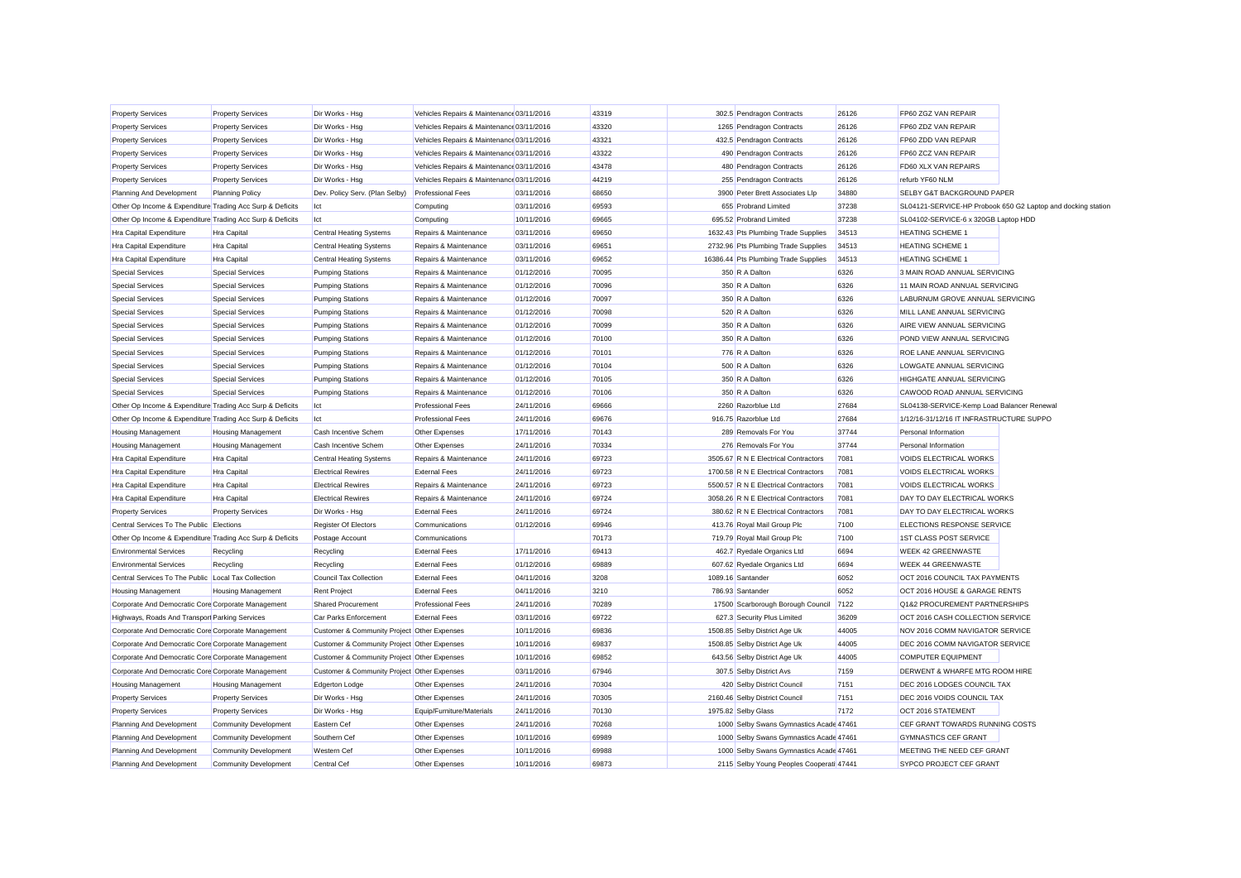| Dir Works - Hsg<br>Vehicles Repairs & Maintenance 03/11/2016<br>43319<br>FP60 ZGZ VAN REPAIR<br><b>Property Services</b><br><b>Property Services</b><br>302.5 Pendragon Contracts<br>26126<br>Dir Works - Hsg<br>Vehicles Repairs & Maintenance 03/11/2016<br>43320<br>1265 Pendragon Contracts<br>FP60 ZDZ VAN REPAIR<br><b>Property Services</b><br><b>Property Services</b><br>26126<br>Vehicles Repairs & Maintenance 03/11/2016<br>43321<br>432.5 Pendragon Contracts<br>FP60 ZDD VAN REPAIR<br><b>Property Services</b><br><b>Property Services</b><br>Dir Works - Hsg<br>26126<br><b>Property Services</b><br><b>Property Services</b><br>Dir Works - Hsg<br>Vehicles Repairs & Maintenance 03/11/2016<br>43322<br>490 Pendragon Contracts<br>26126<br>FP60 ZCZ VAN REPAIR<br><b>Property Services</b><br><b>Property Services</b><br>Dir Works - Hsg<br>Vehicles Repairs & Maintenance 03/11/2016<br>43478<br>480 Pendragon Contracts<br>26126<br>FD60 XLX VAN REPAIRS<br><b>Property Services</b><br><b>Property Services</b><br>Dir Works - Hsg<br>Vehicles Repairs & Maintenance 03/11/2016<br>44219<br>255 Pendragon Contracts<br>26126<br>refurb YF60 NLM<br>Planning And Development<br><b>Planning Policy</b><br>Dev. Policy Serv. (Plan Selby)<br><b>Professional Fees</b><br>03/11/2016<br>68650<br>3900 Peter Brett Associates Llp<br>34880<br>SELBY G&T BACKGROUND PAPER<br>Other Op Income & Expenditure Trading Acc Surp & Deficits<br>Ict<br>Computing<br>03/11/2016<br>69593<br>655 Probrand Limited<br>37238<br>SL04121-SERVICE-HP Probook 650 G2 Laptop and docking station<br>69665<br>Other Op Income & Expenditure Trading Acc Surp & Deficits<br>Ict<br>Computing<br>10/11/2016<br>695.52 Probrand Limited<br>37238<br>SL04102-SERVICE-6 x 320GB Laptop HDD<br>Hra Capital Expenditure<br>Hra Capital<br><b>Central Heating Systems</b><br>Repairs & Maintenance<br>03/11/2016<br>69650<br>1632.43 Pts Plumbing Trade Supplies<br>34513<br><b>HEATING SCHEME 1</b><br>69651<br>Hra Capital Expenditure<br>Hra Capital<br><b>Central Heating Systems</b><br>Repairs & Maintenance<br>03/11/2016<br>2732.96 Pts Plumbing Trade Supplies<br>34513<br><b>HEATING SCHEME 1</b><br>69652<br>Hra Capital Expenditure<br>Hra Capital<br><b>Central Heating Systems</b><br>Repairs & Maintenance<br>03/11/2016<br>16386.44 Pts Plumbing Trade Supplies<br>34513<br><b>HEATING SCHEME 1</b><br>70095<br>3 MAIN ROAD ANNUAL SERVICING<br><b>Special Services</b><br><b>Special Services</b><br><b>Pumping Stations</b><br>Repairs & Maintenance<br>01/12/2016<br>350 R A Dalton<br>6326<br><b>Special Services</b><br>70096<br>6326<br>11 MAIN ROAD ANNUAL SERVICING<br><b>Special Services</b><br><b>Pumping Stations</b><br>Repairs & Maintenance<br>01/12/2016<br>350 R A Dalton<br>70097<br><b>Special Services</b><br>Repairs & Maintenance<br>6326<br>LABURNUM GROVE ANNUAL SERVICING<br><b>Special Services</b><br><b>Pumping Stations</b><br>01/12/2016<br>350 R A Dalton<br>70098<br><b>Special Services</b><br><b>Special Services</b><br><b>Pumping Stations</b><br>01/12/2016<br>520 R A Dalton<br>6326<br>MILL LANE ANNUAL SERVICING<br>Repairs & Maintenance<br>70099<br><b>Special Services</b><br><b>Special Services</b><br><b>Pumping Stations</b><br>Repairs & Maintenance<br>01/12/2016<br>350 R A Dalton<br>6326<br>AIRE VIEW ANNUAL SERVICING<br><b>Special Services</b><br>70100<br>350 R A Dalton<br><b>Special Services</b><br><b>Pumping Stations</b><br>Repairs & Maintenance<br>01/12/2016<br>6326<br>POND VIEW ANNUAL SERVICING<br><b>Special Services</b><br>70101<br>776 R A Dalton<br>ROE LANE ANNUAL SERVICING<br><b>Special Services</b><br><b>Pumping Stations</b><br>Repairs & Maintenance<br>01/12/2016<br>6326<br><b>Special Services</b><br><b>Special Services</b><br><b>Pumping Stations</b><br>01/12/2016<br>70104<br>500 R A Dalton<br>6326<br>LOWGATE ANNUAL SERVICING<br>Repairs & Maintenance<br>70105<br><b>Special Services</b><br>Repairs & Maintenance<br>01/12/2016<br>350 R A Dalton<br>6326<br><b>HIGHGATE ANNUAL SERVICING</b><br><b>Special Services</b><br><b>Pumping Stations</b><br><b>Special Services</b><br><b>Special Services</b><br><b>Pumping Stations</b><br>01/12/2016<br>70106<br>350 R A Dalton<br>6326<br>CAWOOD ROAD ANNUAL SERVICING<br>Repairs & Maintenance<br>69666<br>27684<br>Other Op Income & Expenditure Trading Acc Surp & Deficits<br><b>Professional Fees</b><br>24/11/2016<br>2260 Razorblue Ltd<br>SL04138-SERVICE-Kemp Load Balancer Renewal<br>Ict<br><b>Professional Fees</b><br>69676<br>916.75 Razorblue Ltd<br>27684<br>1/12/16-31/12/16 IT INFRASTRUCTURE SUPPO<br>Other Op Income & Expenditure Trading Acc Surp & Deficits<br>Ict<br>24/11/2016<br>70143<br>37744<br><b>Housing Management</b><br>Cash Incentive Schem<br>Other Expenses<br>17/11/2016<br>289 Removals For You<br>Personal Information<br><b>Housing Management</b><br>70334<br><b>Housing Management</b><br><b>Housing Management</b><br>Cash Incentive Schem<br>Other Expenses<br>24/11/2016<br>276 Removals For You<br>37744<br>Personal Information<br>69723<br>7081<br>VOIDS ELECTRICAL WORKS<br>Hra Capital Expenditure<br>Hra Capital<br><b>Central Heating Systems</b><br>Repairs & Maintenance<br>24/11/2016<br>3505.67 R N E Electrical Contractors<br>69723<br>Hra Capital<br><b>Electrical Rewires</b><br><b>External Fees</b><br>1700.58 R N E Electrical Contractors<br>7081<br><b>VOIDS ELECTRICAL WORKS</b><br>Hra Capital Expenditure<br>24/11/2016<br>69723<br>Repairs & Maintenance<br>24/11/2016<br>5500.57 R N E Electrical Contractors<br>7081<br><b>VOIDS ELECTRICAL WORKS</b><br>Hra Capital Expenditure<br>Hra Capital<br><b>Electrical Rewires</b><br>69724<br>Hra Capital Expenditure<br>Hra Capital<br><b>Electrical Rewires</b><br>24/11/2016<br>3058.26 R N E Electrical Contractors<br>7081<br>DAY TO DAY ELECTRICAL WORKS<br>Repairs & Maintenance<br>69724<br>DAY TO DAY ELECTRICAL WORKS<br><b>Property Services</b><br>Dir Works - Hsg<br><b>External Fees</b><br>24/11/2016<br>380.62 R N E Electrical Contractors<br>7081<br><b>Property Services</b><br><b>Register Of Electors</b><br>69946<br>413.76 Royal Mail Group Plc<br>ELECTIONS RESPONSE SERVICE<br>Central Services To The Public Elections<br>Communications<br>01/12/2016<br>7100<br>70173<br>719.79 Royal Mail Group Plc<br>7100<br>1ST CLASS POST SERVICE<br>Other Op Income & Expenditure Trading Acc Surp & Deficits<br>Postage Account<br>Communications<br><b>Environmental Services</b><br><b>External Fees</b><br>17/11/2016<br>69413<br>462.7 Ryedale Organics Ltd<br>6694<br><b>WEEK 42 GREENWASTE</b><br>Recycling<br>Recycling<br><b>Environmental Services</b><br><b>External Fees</b><br>01/12/2016<br>69889<br>607.62 Ryedale Organics Ltd<br>6694<br><b>WEEK 44 GREENWASTE</b><br>Recycling<br>Recycling<br>3208<br>Central Services To The Public Local Tax Collection<br><b>Council Tax Collection</b><br><b>External Fees</b><br>04/11/2016<br>1089.16 Santander<br>6052<br>OCT 2016 COUNCIL TAX PAYMENTS<br>3210<br><b>Housing Management</b><br><b>Housing Management</b><br><b>Rent Project</b><br><b>External Fees</b><br>04/11/2016<br>786.93 Santander<br>6052<br>OCT 2016 HOUSE & GARAGE RENTS<br>Q1&2 PROCUREMENT PARTNERSHIPS<br>Corporate And Democratic Core Corporate Management<br><b>Shared Procurement</b><br><b>Professional Fees</b><br>24/11/2016<br>70289<br>17500 Scarborough Borough Council<br>7122<br>69722<br>OCT 2016 CASH COLLECTION SERVICE<br>Highways, Roads And Transpor Parking Services<br><b>Car Parks Enforcement</b><br><b>External Fees</b><br>03/11/2016<br>627.3 Security Plus Limited<br>36209<br>69836<br>1508.85 Selby District Age Uk<br>44005<br>Corporate And Democratic Core Corporate Management<br>Customer & Community Project Other Expenses<br>10/11/2016<br>NOV 2016 COMM NAVIGATOR SERVICE<br>69837<br>1508.85 Selby District Age Uk<br>44005<br>DEC 2016 COMM NAVIGATOR SERVICE<br>Corporate And Democratic Core Corporate Management<br>Customer & Community Project Other Expenses<br>10/11/2016<br>Corporate And Democratic Core Corporate Management<br>Customer & Community Project Other Expenses<br>69852<br>643.56 Selby District Age Uk<br>44005<br><b>COMPUTER EQUIPMENT</b><br>10/11/2016<br>Customer & Community Project Other Expenses<br>67946<br>307.5 Selby District Avs<br>7159<br>DERWENT & WHARFE MTG ROOM HIRE<br>Corporate And Democratic Core Corporate Management<br>03/11/2016<br>Other Expenses<br>24/11/2016<br>70304<br>420 Selby District Council<br>7151<br>DEC 2016 LODGES COUNCIL TAX<br><b>Housing Management</b><br><b>Housing Management</b><br><b>Edgerton Lodge</b><br>Dir Works - Hsg<br>Other Expenses<br>24/11/2016<br>70305<br>2160.46 Selby District Council<br>7151<br>DEC 2016 VOIDS COUNCIL TAX<br><b>Property Services</b><br><b>Property Services</b><br>Dir Works - Hsg<br>Equip/Furniture/Materials<br>24/11/2016<br>70130<br>1975.82 Selby Glass<br>7172<br>OCT 2016 STATEMENT<br><b>Property Services</b><br><b>Property Services</b><br><b>Community Development</b><br>Eastern Cef<br>Other Expenses<br>24/11/2016<br>70268<br>1000 Selby Swans Gymnastics Acade 47461<br>CEF GRANT TOWARDS RUNNING COSTS<br>Planning And Development<br>Planning And Development<br><b>Community Development</b><br>Southern Cef<br>Other Expenses<br>10/11/2016<br>69989<br>1000 Selby Swans Gymnastics Acade 47461<br><b>GYMNASTICS CEF GRANT</b><br>69988<br>Planning And Development<br><b>Community Development</b><br><b>Western Cef</b><br>Other Expenses<br>10/11/2016<br>1000 Selby Swans Gymnastics Acade 47461<br>MEETING THE NEED CEF GRANT<br>69873<br>Planning And Development<br><b>Community Development</b><br>Central Cef<br>Other Expenses<br>10/11/2016<br>2115 Selby Young Peoples Cooperati 47441<br>SYPCO PROJECT CEF GRANT |  |  |  |  |  |  |
|---------------------------------------------------------------------------------------------------------------------------------------------------------------------------------------------------------------------------------------------------------------------------------------------------------------------------------------------------------------------------------------------------------------------------------------------------------------------------------------------------------------------------------------------------------------------------------------------------------------------------------------------------------------------------------------------------------------------------------------------------------------------------------------------------------------------------------------------------------------------------------------------------------------------------------------------------------------------------------------------------------------------------------------------------------------------------------------------------------------------------------------------------------------------------------------------------------------------------------------------------------------------------------------------------------------------------------------------------------------------------------------------------------------------------------------------------------------------------------------------------------------------------------------------------------------------------------------------------------------------------------------------------------------------------------------------------------------------------------------------------------------------------------------------------------------------------------------------------------------------------------------------------------------------------------------------------------------------------------------------------------------------------------------------------------------------------------------------------------------------------------------------------------------------------------------------------------------------------------------------------------------------------------------------------------------------------------------------------------------------------------------------------------------------------------------------------------------------------------------------------------------------------------------------------------------------------------------------------------------------------------------------------------------------------------------------------------------------------------------------------------------------------------------------------------------------------------------------------------------------------------------------------------------------------------------------------------------------------------------------------------------------------------------------------------------------------------------------------------------------------------------------------------------------------------------------------------------------------------------------------------------------------------------------------------------------------------------------------------------------------------------------------------------------------------------------------------------------------------------------------------------------------------------------------------------------------------------------------------------------------------------------------------------------------------------------------------------------------------------------------------------------------------------------------------------------------------------------------------------------------------------------------------------------------------------------------------------------------------------------------------------------------------------------------------------------------------------------------------------------------------------------------------------------------------------------------------------------------------------------------------------------------------------------------------------------------------------------------------------------------------------------------------------------------------------------------------------------------------------------------------------------------------------------------------------------------------------------------------------------------------------------------------------------------------------------------------------------------------------------------------------------------------------------------------------------------------------------------------------------------------------------------------------------------------------------------------------------------------------------------------------------------------------------------------------------------------------------------------------------------------------------------------------------------------------------------------------------------------------------------------------------------------------------------------------------------------------------------------------------------------------------------------------------------------------------------------------------------------------------------------------------------------------------------------------------------------------------------------------------------------------------------------------------------------------------------------------------------------------------------------------------------------------------------------------------------------------------------------------------------------------------------------------------------------------------------------------------------------------------------------------------------------------------------------------------------------------------------------------------------------------------------------------------------------------------------------------------------------------------------------------------------------------------------------------------------------------------------------------------------------------------------------------------------------------------------------------------------------------------------------------------------------------------------------------------------------------------------------------------------------------------------------------------------------------------------------------------------------------------------------------------------------------------------------------------------------------------------------------------------------------------------------------------------------------------------------------------------------------------------------------------------------------------------------------------------------------------------------------------------------------------------------------------------------------------------------------------------------------------------------------------------------------------------------------------------------------------------------------------------------------------------------------------------------------------------------------------------------------------------------------------------------------------------------------------------------------------------------------------------------------------------------------------------------------------------------------------------------------------------------------------------------------------------------------------------------------------------------------------------------------------------------------------------------------------------------------------------------------------------------------------------------------------------------------------------------------------------------------------------------------------------------------------------------------------------------------------------------------------------------------------------------------------------------------------------------------------------------------------------------------------------------------------------------------------------------------------------------------------------------------------------------------------------------------------------------------------------------------------------------------------------------------------------------------------------------------------------------------------------------------------------------------------------------------------------------------------------------------------------------------------------------------------------------------------------------------------------------------------------------------------------------------------------------------------------------------------------------------------------------------------------------------------------------------------------------------------------------------------------------------------------------------------------------------------------------------------------------------------------------------------------------------------------------------------------------------------------------------------------------------------------------------------------------------------------------------------------------------------------------------------------------------------------------------------------------------------------------------------------------------------------------------------------------------------------------------------------------------------------------------------------------------------------------------------------|--|--|--|--|--|--|
|                                                                                                                                                                                                                                                                                                                                                                                                                                                                                                                                                                                                                                                                                                                                                                                                                                                                                                                                                                                                                                                                                                                                                                                                                                                                                                                                                                                                                                                                                                                                                                                                                                                                                                                                                                                                                                                                                                                                                                                                                                                                                                                                                                                                                                                                                                                                                                                                                                                                                                                                                                                                                                                                                                                                                                                                                                                                                                                                                                                                                                                                                                                                                                                                                                                                                                                                                                                                                                                                                                                                                                                                                                                                                                                                                                                                                                                                                                                                                                                                                                                                                                                                                                                                                                                                                                                                                                                                                                                                                                                                                                                                                                                                                                                                                                                                                                                                                                                                                                                                                                                                                                                                                                                                                                                                                                                                                                                                                                                                                                                                                                                                                                                                                                                                                                                                                                                                                                                                                                                                                                                                                                                                                                                                                                                                                                                                                                                                                                                                                                                                                                                                                                                                                                                                                                                                                                                                                                                                                                                                                                                                                                                                                                                                                                                                                                                                                                                                                                                                                                                                                                                                                                                                                                                                                                                                                                                                                                                                                                                                                                                                                                                                                                                                                                                                                                                                                                                                                                                                                                                                                                                                                                                                                                                                                                                                                                                                                                                                                                                                                                                                                                                                                                                                                                                                                                                                                                                                                                                                                                                                                                                                                                                                                                                                                                                                                                                                                                                                                   |  |  |  |  |  |  |
|                                                                                                                                                                                                                                                                                                                                                                                                                                                                                                                                                                                                                                                                                                                                                                                                                                                                                                                                                                                                                                                                                                                                                                                                                                                                                                                                                                                                                                                                                                                                                                                                                                                                                                                                                                                                                                                                                                                                                                                                                                                                                                                                                                                                                                                                                                                                                                                                                                                                                                                                                                                                                                                                                                                                                                                                                                                                                                                                                                                                                                                                                                                                                                                                                                                                                                                                                                                                                                                                                                                                                                                                                                                                                                                                                                                                                                                                                                                                                                                                                                                                                                                                                                                                                                                                                                                                                                                                                                                                                                                                                                                                                                                                                                                                                                                                                                                                                                                                                                                                                                                                                                                                                                                                                                                                                                                                                                                                                                                                                                                                                                                                                                                                                                                                                                                                                                                                                                                                                                                                                                                                                                                                                                                                                                                                                                                                                                                                                                                                                                                                                                                                                                                                                                                                                                                                                                                                                                                                                                                                                                                                                                                                                                                                                                                                                                                                                                                                                                                                                                                                                                                                                                                                                                                                                                                                                                                                                                                                                                                                                                                                                                                                                                                                                                                                                                                                                                                                                                                                                                                                                                                                                                                                                                                                                                                                                                                                                                                                                                                                                                                                                                                                                                                                                                                                                                                                                                                                                                                                                                                                                                                                                                                                                                                                                                                                                                                                                                                                                   |  |  |  |  |  |  |
|                                                                                                                                                                                                                                                                                                                                                                                                                                                                                                                                                                                                                                                                                                                                                                                                                                                                                                                                                                                                                                                                                                                                                                                                                                                                                                                                                                                                                                                                                                                                                                                                                                                                                                                                                                                                                                                                                                                                                                                                                                                                                                                                                                                                                                                                                                                                                                                                                                                                                                                                                                                                                                                                                                                                                                                                                                                                                                                                                                                                                                                                                                                                                                                                                                                                                                                                                                                                                                                                                                                                                                                                                                                                                                                                                                                                                                                                                                                                                                                                                                                                                                                                                                                                                                                                                                                                                                                                                                                                                                                                                                                                                                                                                                                                                                                                                                                                                                                                                                                                                                                                                                                                                                                                                                                                                                                                                                                                                                                                                                                                                                                                                                                                                                                                                                                                                                                                                                                                                                                                                                                                                                                                                                                                                                                                                                                                                                                                                                                                                                                                                                                                                                                                                                                                                                                                                                                                                                                                                                                                                                                                                                                                                                                                                                                                                                                                                                                                                                                                                                                                                                                                                                                                                                                                                                                                                                                                                                                                                                                                                                                                                                                                                                                                                                                                                                                                                                                                                                                                                                                                                                                                                                                                                                                                                                                                                                                                                                                                                                                                                                                                                                                                                                                                                                                                                                                                                                                                                                                                                                                                                                                                                                                                                                                                                                                                                                                                                                                                                   |  |  |  |  |  |  |
|                                                                                                                                                                                                                                                                                                                                                                                                                                                                                                                                                                                                                                                                                                                                                                                                                                                                                                                                                                                                                                                                                                                                                                                                                                                                                                                                                                                                                                                                                                                                                                                                                                                                                                                                                                                                                                                                                                                                                                                                                                                                                                                                                                                                                                                                                                                                                                                                                                                                                                                                                                                                                                                                                                                                                                                                                                                                                                                                                                                                                                                                                                                                                                                                                                                                                                                                                                                                                                                                                                                                                                                                                                                                                                                                                                                                                                                                                                                                                                                                                                                                                                                                                                                                                                                                                                                                                                                                                                                                                                                                                                                                                                                                                                                                                                                                                                                                                                                                                                                                                                                                                                                                                                                                                                                                                                                                                                                                                                                                                                                                                                                                                                                                                                                                                                                                                                                                                                                                                                                                                                                                                                                                                                                                                                                                                                                                                                                                                                                                                                                                                                                                                                                                                                                                                                                                                                                                                                                                                                                                                                                                                                                                                                                                                                                                                                                                                                                                                                                                                                                                                                                                                                                                                                                                                                                                                                                                                                                                                                                                                                                                                                                                                                                                                                                                                                                                                                                                                                                                                                                                                                                                                                                                                                                                                                                                                                                                                                                                                                                                                                                                                                                                                                                                                                                                                                                                                                                                                                                                                                                                                                                                                                                                                                                                                                                                                                                                                                                                                   |  |  |  |  |  |  |
|                                                                                                                                                                                                                                                                                                                                                                                                                                                                                                                                                                                                                                                                                                                                                                                                                                                                                                                                                                                                                                                                                                                                                                                                                                                                                                                                                                                                                                                                                                                                                                                                                                                                                                                                                                                                                                                                                                                                                                                                                                                                                                                                                                                                                                                                                                                                                                                                                                                                                                                                                                                                                                                                                                                                                                                                                                                                                                                                                                                                                                                                                                                                                                                                                                                                                                                                                                                                                                                                                                                                                                                                                                                                                                                                                                                                                                                                                                                                                                                                                                                                                                                                                                                                                                                                                                                                                                                                                                                                                                                                                                                                                                                                                                                                                                                                                                                                                                                                                                                                                                                                                                                                                                                                                                                                                                                                                                                                                                                                                                                                                                                                                                                                                                                                                                                                                                                                                                                                                                                                                                                                                                                                                                                                                                                                                                                                                                                                                                                                                                                                                                                                                                                                                                                                                                                                                                                                                                                                                                                                                                                                                                                                                                                                                                                                                                                                                                                                                                                                                                                                                                                                                                                                                                                                                                                                                                                                                                                                                                                                                                                                                                                                                                                                                                                                                                                                                                                                                                                                                                                                                                                                                                                                                                                                                                                                                                                                                                                                                                                                                                                                                                                                                                                                                                                                                                                                                                                                                                                                                                                                                                                                                                                                                                                                                                                                                                                                                                                                                   |  |  |  |  |  |  |
|                                                                                                                                                                                                                                                                                                                                                                                                                                                                                                                                                                                                                                                                                                                                                                                                                                                                                                                                                                                                                                                                                                                                                                                                                                                                                                                                                                                                                                                                                                                                                                                                                                                                                                                                                                                                                                                                                                                                                                                                                                                                                                                                                                                                                                                                                                                                                                                                                                                                                                                                                                                                                                                                                                                                                                                                                                                                                                                                                                                                                                                                                                                                                                                                                                                                                                                                                                                                                                                                                                                                                                                                                                                                                                                                                                                                                                                                                                                                                                                                                                                                                                                                                                                                                                                                                                                                                                                                                                                                                                                                                                                                                                                                                                                                                                                                                                                                                                                                                                                                                                                                                                                                                                                                                                                                                                                                                                                                                                                                                                                                                                                                                                                                                                                                                                                                                                                                                                                                                                                                                                                                                                                                                                                                                                                                                                                                                                                                                                                                                                                                                                                                                                                                                                                                                                                                                                                                                                                                                                                                                                                                                                                                                                                                                                                                                                                                                                                                                                                                                                                                                                                                                                                                                                                                                                                                                                                                                                                                                                                                                                                                                                                                                                                                                                                                                                                                                                                                                                                                                                                                                                                                                                                                                                                                                                                                                                                                                                                                                                                                                                                                                                                                                                                                                                                                                                                                                                                                                                                                                                                                                                                                                                                                                                                                                                                                                                                                                                                                                   |  |  |  |  |  |  |
|                                                                                                                                                                                                                                                                                                                                                                                                                                                                                                                                                                                                                                                                                                                                                                                                                                                                                                                                                                                                                                                                                                                                                                                                                                                                                                                                                                                                                                                                                                                                                                                                                                                                                                                                                                                                                                                                                                                                                                                                                                                                                                                                                                                                                                                                                                                                                                                                                                                                                                                                                                                                                                                                                                                                                                                                                                                                                                                                                                                                                                                                                                                                                                                                                                                                                                                                                                                                                                                                                                                                                                                                                                                                                                                                                                                                                                                                                                                                                                                                                                                                                                                                                                                                                                                                                                                                                                                                                                                                                                                                                                                                                                                                                                                                                                                                                                                                                                                                                                                                                                                                                                                                                                                                                                                                                                                                                                                                                                                                                                                                                                                                                                                                                                                                                                                                                                                                                                                                                                                                                                                                                                                                                                                                                                                                                                                                                                                                                                                                                                                                                                                                                                                                                                                                                                                                                                                                                                                                                                                                                                                                                                                                                                                                                                                                                                                                                                                                                                                                                                                                                                                                                                                                                                                                                                                                                                                                                                                                                                                                                                                                                                                                                                                                                                                                                                                                                                                                                                                                                                                                                                                                                                                                                                                                                                                                                                                                                                                                                                                                                                                                                                                                                                                                                                                                                                                                                                                                                                                                                                                                                                                                                                                                                                                                                                                                                                                                                                                                                   |  |  |  |  |  |  |
|                                                                                                                                                                                                                                                                                                                                                                                                                                                                                                                                                                                                                                                                                                                                                                                                                                                                                                                                                                                                                                                                                                                                                                                                                                                                                                                                                                                                                                                                                                                                                                                                                                                                                                                                                                                                                                                                                                                                                                                                                                                                                                                                                                                                                                                                                                                                                                                                                                                                                                                                                                                                                                                                                                                                                                                                                                                                                                                                                                                                                                                                                                                                                                                                                                                                                                                                                                                                                                                                                                                                                                                                                                                                                                                                                                                                                                                                                                                                                                                                                                                                                                                                                                                                                                                                                                                                                                                                                                                                                                                                                                                                                                                                                                                                                                                                                                                                                                                                                                                                                                                                                                                                                                                                                                                                                                                                                                                                                                                                                                                                                                                                                                                                                                                                                                                                                                                                                                                                                                                                                                                                                                                                                                                                                                                                                                                                                                                                                                                                                                                                                                                                                                                                                                                                                                                                                                                                                                                                                                                                                                                                                                                                                                                                                                                                                                                                                                                                                                                                                                                                                                                                                                                                                                                                                                                                                                                                                                                                                                                                                                                                                                                                                                                                                                                                                                                                                                                                                                                                                                                                                                                                                                                                                                                                                                                                                                                                                                                                                                                                                                                                                                                                                                                                                                                                                                                                                                                                                                                                                                                                                                                                                                                                                                                                                                                                                                                                                                                                                   |  |  |  |  |  |  |
|                                                                                                                                                                                                                                                                                                                                                                                                                                                                                                                                                                                                                                                                                                                                                                                                                                                                                                                                                                                                                                                                                                                                                                                                                                                                                                                                                                                                                                                                                                                                                                                                                                                                                                                                                                                                                                                                                                                                                                                                                                                                                                                                                                                                                                                                                                                                                                                                                                                                                                                                                                                                                                                                                                                                                                                                                                                                                                                                                                                                                                                                                                                                                                                                                                                                                                                                                                                                                                                                                                                                                                                                                                                                                                                                                                                                                                                                                                                                                                                                                                                                                                                                                                                                                                                                                                                                                                                                                                                                                                                                                                                                                                                                                                                                                                                                                                                                                                                                                                                                                                                                                                                                                                                                                                                                                                                                                                                                                                                                                                                                                                                                                                                                                                                                                                                                                                                                                                                                                                                                                                                                                                                                                                                                                                                                                                                                                                                                                                                                                                                                                                                                                                                                                                                                                                                                                                                                                                                                                                                                                                                                                                                                                                                                                                                                                                                                                                                                                                                                                                                                                                                                                                                                                                                                                                                                                                                                                                                                                                                                                                                                                                                                                                                                                                                                                                                                                                                                                                                                                                                                                                                                                                                                                                                                                                                                                                                                                                                                                                                                                                                                                                                                                                                                                                                                                                                                                                                                                                                                                                                                                                                                                                                                                                                                                                                                                                                                                                                                                   |  |  |  |  |  |  |
|                                                                                                                                                                                                                                                                                                                                                                                                                                                                                                                                                                                                                                                                                                                                                                                                                                                                                                                                                                                                                                                                                                                                                                                                                                                                                                                                                                                                                                                                                                                                                                                                                                                                                                                                                                                                                                                                                                                                                                                                                                                                                                                                                                                                                                                                                                                                                                                                                                                                                                                                                                                                                                                                                                                                                                                                                                                                                                                                                                                                                                                                                                                                                                                                                                                                                                                                                                                                                                                                                                                                                                                                                                                                                                                                                                                                                                                                                                                                                                                                                                                                                                                                                                                                                                                                                                                                                                                                                                                                                                                                                                                                                                                                                                                                                                                                                                                                                                                                                                                                                                                                                                                                                                                                                                                                                                                                                                                                                                                                                                                                                                                                                                                                                                                                                                                                                                                                                                                                                                                                                                                                                                                                                                                                                                                                                                                                                                                                                                                                                                                                                                                                                                                                                                                                                                                                                                                                                                                                                                                                                                                                                                                                                                                                                                                                                                                                                                                                                                                                                                                                                                                                                                                                                                                                                                                                                                                                                                                                                                                                                                                                                                                                                                                                                                                                                                                                                                                                                                                                                                                                                                                                                                                                                                                                                                                                                                                                                                                                                                                                                                                                                                                                                                                                                                                                                                                                                                                                                                                                                                                                                                                                                                                                                                                                                                                                                                                                                                                                                   |  |  |  |  |  |  |
|                                                                                                                                                                                                                                                                                                                                                                                                                                                                                                                                                                                                                                                                                                                                                                                                                                                                                                                                                                                                                                                                                                                                                                                                                                                                                                                                                                                                                                                                                                                                                                                                                                                                                                                                                                                                                                                                                                                                                                                                                                                                                                                                                                                                                                                                                                                                                                                                                                                                                                                                                                                                                                                                                                                                                                                                                                                                                                                                                                                                                                                                                                                                                                                                                                                                                                                                                                                                                                                                                                                                                                                                                                                                                                                                                                                                                                                                                                                                                                                                                                                                                                                                                                                                                                                                                                                                                                                                                                                                                                                                                                                                                                                                                                                                                                                                                                                                                                                                                                                                                                                                                                                                                                                                                                                                                                                                                                                                                                                                                                                                                                                                                                                                                                                                                                                                                                                                                                                                                                                                                                                                                                                                                                                                                                                                                                                                                                                                                                                                                                                                                                                                                                                                                                                                                                                                                                                                                                                                                                                                                                                                                                                                                                                                                                                                                                                                                                                                                                                                                                                                                                                                                                                                                                                                                                                                                                                                                                                                                                                                                                                                                                                                                                                                                                                                                                                                                                                                                                                                                                                                                                                                                                                                                                                                                                                                                                                                                                                                                                                                                                                                                                                                                                                                                                                                                                                                                                                                                                                                                                                                                                                                                                                                                                                                                                                                                                                                                                                                                   |  |  |  |  |  |  |
|                                                                                                                                                                                                                                                                                                                                                                                                                                                                                                                                                                                                                                                                                                                                                                                                                                                                                                                                                                                                                                                                                                                                                                                                                                                                                                                                                                                                                                                                                                                                                                                                                                                                                                                                                                                                                                                                                                                                                                                                                                                                                                                                                                                                                                                                                                                                                                                                                                                                                                                                                                                                                                                                                                                                                                                                                                                                                                                                                                                                                                                                                                                                                                                                                                                                                                                                                                                                                                                                                                                                                                                                                                                                                                                                                                                                                                                                                                                                                                                                                                                                                                                                                                                                                                                                                                                                                                                                                                                                                                                                                                                                                                                                                                                                                                                                                                                                                                                                                                                                                                                                                                                                                                                                                                                                                                                                                                                                                                                                                                                                                                                                                                                                                                                                                                                                                                                                                                                                                                                                                                                                                                                                                                                                                                                                                                                                                                                                                                                                                                                                                                                                                                                                                                                                                                                                                                                                                                                                                                                                                                                                                                                                                                                                                                                                                                                                                                                                                                                                                                                                                                                                                                                                                                                                                                                                                                                                                                                                                                                                                                                                                                                                                                                                                                                                                                                                                                                                                                                                                                                                                                                                                                                                                                                                                                                                                                                                                                                                                                                                                                                                                                                                                                                                                                                                                                                                                                                                                                                                                                                                                                                                                                                                                                                                                                                                                                                                                                                                                   |  |  |  |  |  |  |
|                                                                                                                                                                                                                                                                                                                                                                                                                                                                                                                                                                                                                                                                                                                                                                                                                                                                                                                                                                                                                                                                                                                                                                                                                                                                                                                                                                                                                                                                                                                                                                                                                                                                                                                                                                                                                                                                                                                                                                                                                                                                                                                                                                                                                                                                                                                                                                                                                                                                                                                                                                                                                                                                                                                                                                                                                                                                                                                                                                                                                                                                                                                                                                                                                                                                                                                                                                                                                                                                                                                                                                                                                                                                                                                                                                                                                                                                                                                                                                                                                                                                                                                                                                                                                                                                                                                                                                                                                                                                                                                                                                                                                                                                                                                                                                                                                                                                                                                                                                                                                                                                                                                                                                                                                                                                                                                                                                                                                                                                                                                                                                                                                                                                                                                                                                                                                                                                                                                                                                                                                                                                                                                                                                                                                                                                                                                                                                                                                                                                                                                                                                                                                                                                                                                                                                                                                                                                                                                                                                                                                                                                                                                                                                                                                                                                                                                                                                                                                                                                                                                                                                                                                                                                                                                                                                                                                                                                                                                                                                                                                                                                                                                                                                                                                                                                                                                                                                                                                                                                                                                                                                                                                                                                                                                                                                                                                                                                                                                                                                                                                                                                                                                                                                                                                                                                                                                                                                                                                                                                                                                                                                                                                                                                                                                                                                                                                                                                                                                                                   |  |  |  |  |  |  |
|                                                                                                                                                                                                                                                                                                                                                                                                                                                                                                                                                                                                                                                                                                                                                                                                                                                                                                                                                                                                                                                                                                                                                                                                                                                                                                                                                                                                                                                                                                                                                                                                                                                                                                                                                                                                                                                                                                                                                                                                                                                                                                                                                                                                                                                                                                                                                                                                                                                                                                                                                                                                                                                                                                                                                                                                                                                                                                                                                                                                                                                                                                                                                                                                                                                                                                                                                                                                                                                                                                                                                                                                                                                                                                                                                                                                                                                                                                                                                                                                                                                                                                                                                                                                                                                                                                                                                                                                                                                                                                                                                                                                                                                                                                                                                                                                                                                                                                                                                                                                                                                                                                                                                                                                                                                                                                                                                                                                                                                                                                                                                                                                                                                                                                                                                                                                                                                                                                                                                                                                                                                                                                                                                                                                                                                                                                                                                                                                                                                                                                                                                                                                                                                                                                                                                                                                                                                                                                                                                                                                                                                                                                                                                                                                                                                                                                                                                                                                                                                                                                                                                                                                                                                                                                                                                                                                                                                                                                                                                                                                                                                                                                                                                                                                                                                                                                                                                                                                                                                                                                                                                                                                                                                                                                                                                                                                                                                                                                                                                                                                                                                                                                                                                                                                                                                                                                                                                                                                                                                                                                                                                                                                                                                                                                                                                                                                                                                                                                                                                   |  |  |  |  |  |  |
|                                                                                                                                                                                                                                                                                                                                                                                                                                                                                                                                                                                                                                                                                                                                                                                                                                                                                                                                                                                                                                                                                                                                                                                                                                                                                                                                                                                                                                                                                                                                                                                                                                                                                                                                                                                                                                                                                                                                                                                                                                                                                                                                                                                                                                                                                                                                                                                                                                                                                                                                                                                                                                                                                                                                                                                                                                                                                                                                                                                                                                                                                                                                                                                                                                                                                                                                                                                                                                                                                                                                                                                                                                                                                                                                                                                                                                                                                                                                                                                                                                                                                                                                                                                                                                                                                                                                                                                                                                                                                                                                                                                                                                                                                                                                                                                                                                                                                                                                                                                                                                                                                                                                                                                                                                                                                                                                                                                                                                                                                                                                                                                                                                                                                                                                                                                                                                                                                                                                                                                                                                                                                                                                                                                                                                                                                                                                                                                                                                                                                                                                                                                                                                                                                                                                                                                                                                                                                                                                                                                                                                                                                                                                                                                                                                                                                                                                                                                                                                                                                                                                                                                                                                                                                                                                                                                                                                                                                                                                                                                                                                                                                                                                                                                                                                                                                                                                                                                                                                                                                                                                                                                                                                                                                                                                                                                                                                                                                                                                                                                                                                                                                                                                                                                                                                                                                                                                                                                                                                                                                                                                                                                                                                                                                                                                                                                                                                                                                                                                                   |  |  |  |  |  |  |
|                                                                                                                                                                                                                                                                                                                                                                                                                                                                                                                                                                                                                                                                                                                                                                                                                                                                                                                                                                                                                                                                                                                                                                                                                                                                                                                                                                                                                                                                                                                                                                                                                                                                                                                                                                                                                                                                                                                                                                                                                                                                                                                                                                                                                                                                                                                                                                                                                                                                                                                                                                                                                                                                                                                                                                                                                                                                                                                                                                                                                                                                                                                                                                                                                                                                                                                                                                                                                                                                                                                                                                                                                                                                                                                                                                                                                                                                                                                                                                                                                                                                                                                                                                                                                                                                                                                                                                                                                                                                                                                                                                                                                                                                                                                                                                                                                                                                                                                                                                                                                                                                                                                                                                                                                                                                                                                                                                                                                                                                                                                                                                                                                                                                                                                                                                                                                                                                                                                                                                                                                                                                                                                                                                                                                                                                                                                                                                                                                                                                                                                                                                                                                                                                                                                                                                                                                                                                                                                                                                                                                                                                                                                                                                                                                                                                                                                                                                                                                                                                                                                                                                                                                                                                                                                                                                                                                                                                                                                                                                                                                                                                                                                                                                                                                                                                                                                                                                                                                                                                                                                                                                                                                                                                                                                                                                                                                                                                                                                                                                                                                                                                                                                                                                                                                                                                                                                                                                                                                                                                                                                                                                                                                                                                                                                                                                                                                                                                                                                                                   |  |  |  |  |  |  |
|                                                                                                                                                                                                                                                                                                                                                                                                                                                                                                                                                                                                                                                                                                                                                                                                                                                                                                                                                                                                                                                                                                                                                                                                                                                                                                                                                                                                                                                                                                                                                                                                                                                                                                                                                                                                                                                                                                                                                                                                                                                                                                                                                                                                                                                                                                                                                                                                                                                                                                                                                                                                                                                                                                                                                                                                                                                                                                                                                                                                                                                                                                                                                                                                                                                                                                                                                                                                                                                                                                                                                                                                                                                                                                                                                                                                                                                                                                                                                                                                                                                                                                                                                                                                                                                                                                                                                                                                                                                                                                                                                                                                                                                                                                                                                                                                                                                                                                                                                                                                                                                                                                                                                                                                                                                                                                                                                                                                                                                                                                                                                                                                                                                                                                                                                                                                                                                                                                                                                                                                                                                                                                                                                                                                                                                                                                                                                                                                                                                                                                                                                                                                                                                                                                                                                                                                                                                                                                                                                                                                                                                                                                                                                                                                                                                                                                                                                                                                                                                                                                                                                                                                                                                                                                                                                                                                                                                                                                                                                                                                                                                                                                                                                                                                                                                                                                                                                                                                                                                                                                                                                                                                                                                                                                                                                                                                                                                                                                                                                                                                                                                                                                                                                                                                                                                                                                                                                                                                                                                                                                                                                                                                                                                                                                                                                                                                                                                                                                                                                   |  |  |  |  |  |  |
|                                                                                                                                                                                                                                                                                                                                                                                                                                                                                                                                                                                                                                                                                                                                                                                                                                                                                                                                                                                                                                                                                                                                                                                                                                                                                                                                                                                                                                                                                                                                                                                                                                                                                                                                                                                                                                                                                                                                                                                                                                                                                                                                                                                                                                                                                                                                                                                                                                                                                                                                                                                                                                                                                                                                                                                                                                                                                                                                                                                                                                                                                                                                                                                                                                                                                                                                                                                                                                                                                                                                                                                                                                                                                                                                                                                                                                                                                                                                                                                                                                                                                                                                                                                                                                                                                                                                                                                                                                                                                                                                                                                                                                                                                                                                                                                                                                                                                                                                                                                                                                                                                                                                                                                                                                                                                                                                                                                                                                                                                                                                                                                                                                                                                                                                                                                                                                                                                                                                                                                                                                                                                                                                                                                                                                                                                                                                                                                                                                                                                                                                                                                                                                                                                                                                                                                                                                                                                                                                                                                                                                                                                                                                                                                                                                                                                                                                                                                                                                                                                                                                                                                                                                                                                                                                                                                                                                                                                                                                                                                                                                                                                                                                                                                                                                                                                                                                                                                                                                                                                                                                                                                                                                                                                                                                                                                                                                                                                                                                                                                                                                                                                                                                                                                                                                                                                                                                                                                                                                                                                                                                                                                                                                                                                                                                                                                                                                                                                                                                                   |  |  |  |  |  |  |
|                                                                                                                                                                                                                                                                                                                                                                                                                                                                                                                                                                                                                                                                                                                                                                                                                                                                                                                                                                                                                                                                                                                                                                                                                                                                                                                                                                                                                                                                                                                                                                                                                                                                                                                                                                                                                                                                                                                                                                                                                                                                                                                                                                                                                                                                                                                                                                                                                                                                                                                                                                                                                                                                                                                                                                                                                                                                                                                                                                                                                                                                                                                                                                                                                                                                                                                                                                                                                                                                                                                                                                                                                                                                                                                                                                                                                                                                                                                                                                                                                                                                                                                                                                                                                                                                                                                                                                                                                                                                                                                                                                                                                                                                                                                                                                                                                                                                                                                                                                                                                                                                                                                                                                                                                                                                                                                                                                                                                                                                                                                                                                                                                                                                                                                                                                                                                                                                                                                                                                                                                                                                                                                                                                                                                                                                                                                                                                                                                                                                                                                                                                                                                                                                                                                                                                                                                                                                                                                                                                                                                                                                                                                                                                                                                                                                                                                                                                                                                                                                                                                                                                                                                                                                                                                                                                                                                                                                                                                                                                                                                                                                                                                                                                                                                                                                                                                                                                                                                                                                                                                                                                                                                                                                                                                                                                                                                                                                                                                                                                                                                                                                                                                                                                                                                                                                                                                                                                                                                                                                                                                                                                                                                                                                                                                                                                                                                                                                                                                                                   |  |  |  |  |  |  |
|                                                                                                                                                                                                                                                                                                                                                                                                                                                                                                                                                                                                                                                                                                                                                                                                                                                                                                                                                                                                                                                                                                                                                                                                                                                                                                                                                                                                                                                                                                                                                                                                                                                                                                                                                                                                                                                                                                                                                                                                                                                                                                                                                                                                                                                                                                                                                                                                                                                                                                                                                                                                                                                                                                                                                                                                                                                                                                                                                                                                                                                                                                                                                                                                                                                                                                                                                                                                                                                                                                                                                                                                                                                                                                                                                                                                                                                                                                                                                                                                                                                                                                                                                                                                                                                                                                                                                                                                                                                                                                                                                                                                                                                                                                                                                                                                                                                                                                                                                                                                                                                                                                                                                                                                                                                                                                                                                                                                                                                                                                                                                                                                                                                                                                                                                                                                                                                                                                                                                                                                                                                                                                                                                                                                                                                                                                                                                                                                                                                                                                                                                                                                                                                                                                                                                                                                                                                                                                                                                                                                                                                                                                                                                                                                                                                                                                                                                                                                                                                                                                                                                                                                                                                                                                                                                                                                                                                                                                                                                                                                                                                                                                                                                                                                                                                                                                                                                                                                                                                                                                                                                                                                                                                                                                                                                                                                                                                                                                                                                                                                                                                                                                                                                                                                                                                                                                                                                                                                                                                                                                                                                                                                                                                                                                                                                                                                                                                                                                                                                   |  |  |  |  |  |  |
|                                                                                                                                                                                                                                                                                                                                                                                                                                                                                                                                                                                                                                                                                                                                                                                                                                                                                                                                                                                                                                                                                                                                                                                                                                                                                                                                                                                                                                                                                                                                                                                                                                                                                                                                                                                                                                                                                                                                                                                                                                                                                                                                                                                                                                                                                                                                                                                                                                                                                                                                                                                                                                                                                                                                                                                                                                                                                                                                                                                                                                                                                                                                                                                                                                                                                                                                                                                                                                                                                                                                                                                                                                                                                                                                                                                                                                                                                                                                                                                                                                                                                                                                                                                                                                                                                                                                                                                                                                                                                                                                                                                                                                                                                                                                                                                                                                                                                                                                                                                                                                                                                                                                                                                                                                                                                                                                                                                                                                                                                                                                                                                                                                                                                                                                                                                                                                                                                                                                                                                                                                                                                                                                                                                                                                                                                                                                                                                                                                                                                                                                                                                                                                                                                                                                                                                                                                                                                                                                                                                                                                                                                                                                                                                                                                                                                                                                                                                                                                                                                                                                                                                                                                                                                                                                                                                                                                                                                                                                                                                                                                                                                                                                                                                                                                                                                                                                                                                                                                                                                                                                                                                                                                                                                                                                                                                                                                                                                                                                                                                                                                                                                                                                                                                                                                                                                                                                                                                                                                                                                                                                                                                                                                                                                                                                                                                                                                                                                                                                                   |  |  |  |  |  |  |
|                                                                                                                                                                                                                                                                                                                                                                                                                                                                                                                                                                                                                                                                                                                                                                                                                                                                                                                                                                                                                                                                                                                                                                                                                                                                                                                                                                                                                                                                                                                                                                                                                                                                                                                                                                                                                                                                                                                                                                                                                                                                                                                                                                                                                                                                                                                                                                                                                                                                                                                                                                                                                                                                                                                                                                                                                                                                                                                                                                                                                                                                                                                                                                                                                                                                                                                                                                                                                                                                                                                                                                                                                                                                                                                                                                                                                                                                                                                                                                                                                                                                                                                                                                                                                                                                                                                                                                                                                                                                                                                                                                                                                                                                                                                                                                                                                                                                                                                                                                                                                                                                                                                                                                                                                                                                                                                                                                                                                                                                                                                                                                                                                                                                                                                                                                                                                                                                                                                                                                                                                                                                                                                                                                                                                                                                                                                                                                                                                                                                                                                                                                                                                                                                                                                                                                                                                                                                                                                                                                                                                                                                                                                                                                                                                                                                                                                                                                                                                                                                                                                                                                                                                                                                                                                                                                                                                                                                                                                                                                                                                                                                                                                                                                                                                                                                                                                                                                                                                                                                                                                                                                                                                                                                                                                                                                                                                                                                                                                                                                                                                                                                                                                                                                                                                                                                                                                                                                                                                                                                                                                                                                                                                                                                                                                                                                                                                                                                                                                                                   |  |  |  |  |  |  |
|                                                                                                                                                                                                                                                                                                                                                                                                                                                                                                                                                                                                                                                                                                                                                                                                                                                                                                                                                                                                                                                                                                                                                                                                                                                                                                                                                                                                                                                                                                                                                                                                                                                                                                                                                                                                                                                                                                                                                                                                                                                                                                                                                                                                                                                                                                                                                                                                                                                                                                                                                                                                                                                                                                                                                                                                                                                                                                                                                                                                                                                                                                                                                                                                                                                                                                                                                                                                                                                                                                                                                                                                                                                                                                                                                                                                                                                                                                                                                                                                                                                                                                                                                                                                                                                                                                                                                                                                                                                                                                                                                                                                                                                                                                                                                                                                                                                                                                                                                                                                                                                                                                                                                                                                                                                                                                                                                                                                                                                                                                                                                                                                                                                                                                                                                                                                                                                                                                                                                                                                                                                                                                                                                                                                                                                                                                                                                                                                                                                                                                                                                                                                                                                                                                                                                                                                                                                                                                                                                                                                                                                                                                                                                                                                                                                                                                                                                                                                                                                                                                                                                                                                                                                                                                                                                                                                                                                                                                                                                                                                                                                                                                                                                                                                                                                                                                                                                                                                                                                                                                                                                                                                                                                                                                                                                                                                                                                                                                                                                                                                                                                                                                                                                                                                                                                                                                                                                                                                                                                                                                                                                                                                                                                                                                                                                                                                                                                                                                                                                   |  |  |  |  |  |  |
|                                                                                                                                                                                                                                                                                                                                                                                                                                                                                                                                                                                                                                                                                                                                                                                                                                                                                                                                                                                                                                                                                                                                                                                                                                                                                                                                                                                                                                                                                                                                                                                                                                                                                                                                                                                                                                                                                                                                                                                                                                                                                                                                                                                                                                                                                                                                                                                                                                                                                                                                                                                                                                                                                                                                                                                                                                                                                                                                                                                                                                                                                                                                                                                                                                                                                                                                                                                                                                                                                                                                                                                                                                                                                                                                                                                                                                                                                                                                                                                                                                                                                                                                                                                                                                                                                                                                                                                                                                                                                                                                                                                                                                                                                                                                                                                                                                                                                                                                                                                                                                                                                                                                                                                                                                                                                                                                                                                                                                                                                                                                                                                                                                                                                                                                                                                                                                                                                                                                                                                                                                                                                                                                                                                                                                                                                                                                                                                                                                                                                                                                                                                                                                                                                                                                                                                                                                                                                                                                                                                                                                                                                                                                                                                                                                                                                                                                                                                                                                                                                                                                                                                                                                                                                                                                                                                                                                                                                                                                                                                                                                                                                                                                                                                                                                                                                                                                                                                                                                                                                                                                                                                                                                                                                                                                                                                                                                                                                                                                                                                                                                                                                                                                                                                                                                                                                                                                                                                                                                                                                                                                                                                                                                                                                                                                                                                                                                                                                                                                                   |  |  |  |  |  |  |
|                                                                                                                                                                                                                                                                                                                                                                                                                                                                                                                                                                                                                                                                                                                                                                                                                                                                                                                                                                                                                                                                                                                                                                                                                                                                                                                                                                                                                                                                                                                                                                                                                                                                                                                                                                                                                                                                                                                                                                                                                                                                                                                                                                                                                                                                                                                                                                                                                                                                                                                                                                                                                                                                                                                                                                                                                                                                                                                                                                                                                                                                                                                                                                                                                                                                                                                                                                                                                                                                                                                                                                                                                                                                                                                                                                                                                                                                                                                                                                                                                                                                                                                                                                                                                                                                                                                                                                                                                                                                                                                                                                                                                                                                                                                                                                                                                                                                                                                                                                                                                                                                                                                                                                                                                                                                                                                                                                                                                                                                                                                                                                                                                                                                                                                                                                                                                                                                                                                                                                                                                                                                                                                                                                                                                                                                                                                                                                                                                                                                                                                                                                                                                                                                                                                                                                                                                                                                                                                                                                                                                                                                                                                                                                                                                                                                                                                                                                                                                                                                                                                                                                                                                                                                                                                                                                                                                                                                                                                                                                                                                                                                                                                                                                                                                                                                                                                                                                                                                                                                                                                                                                                                                                                                                                                                                                                                                                                                                                                                                                                                                                                                                                                                                                                                                                                                                                                                                                                                                                                                                                                                                                                                                                                                                                                                                                                                                                                                                                                                                   |  |  |  |  |  |  |
|                                                                                                                                                                                                                                                                                                                                                                                                                                                                                                                                                                                                                                                                                                                                                                                                                                                                                                                                                                                                                                                                                                                                                                                                                                                                                                                                                                                                                                                                                                                                                                                                                                                                                                                                                                                                                                                                                                                                                                                                                                                                                                                                                                                                                                                                                                                                                                                                                                                                                                                                                                                                                                                                                                                                                                                                                                                                                                                                                                                                                                                                                                                                                                                                                                                                                                                                                                                                                                                                                                                                                                                                                                                                                                                                                                                                                                                                                                                                                                                                                                                                                                                                                                                                                                                                                                                                                                                                                                                                                                                                                                                                                                                                                                                                                                                                                                                                                                                                                                                                                                                                                                                                                                                                                                                                                                                                                                                                                                                                                                                                                                                                                                                                                                                                                                                                                                                                                                                                                                                                                                                                                                                                                                                                                                                                                                                                                                                                                                                                                                                                                                                                                                                                                                                                                                                                                                                                                                                                                                                                                                                                                                                                                                                                                                                                                                                                                                                                                                                                                                                                                                                                                                                                                                                                                                                                                                                                                                                                                                                                                                                                                                                                                                                                                                                                                                                                                                                                                                                                                                                                                                                                                                                                                                                                                                                                                                                                                                                                                                                                                                                                                                                                                                                                                                                                                                                                                                                                                                                                                                                                                                                                                                                                                                                                                                                                                                                                                                                                                   |  |  |  |  |  |  |
|                                                                                                                                                                                                                                                                                                                                                                                                                                                                                                                                                                                                                                                                                                                                                                                                                                                                                                                                                                                                                                                                                                                                                                                                                                                                                                                                                                                                                                                                                                                                                                                                                                                                                                                                                                                                                                                                                                                                                                                                                                                                                                                                                                                                                                                                                                                                                                                                                                                                                                                                                                                                                                                                                                                                                                                                                                                                                                                                                                                                                                                                                                                                                                                                                                                                                                                                                                                                                                                                                                                                                                                                                                                                                                                                                                                                                                                                                                                                                                                                                                                                                                                                                                                                                                                                                                                                                                                                                                                                                                                                                                                                                                                                                                                                                                                                                                                                                                                                                                                                                                                                                                                                                                                                                                                                                                                                                                                                                                                                                                                                                                                                                                                                                                                                                                                                                                                                                                                                                                                                                                                                                                                                                                                                                                                                                                                                                                                                                                                                                                                                                                                                                                                                                                                                                                                                                                                                                                                                                                                                                                                                                                                                                                                                                                                                                                                                                                                                                                                                                                                                                                                                                                                                                                                                                                                                                                                                                                                                                                                                                                                                                                                                                                                                                                                                                                                                                                                                                                                                                                                                                                                                                                                                                                                                                                                                                                                                                                                                                                                                                                                                                                                                                                                                                                                                                                                                                                                                                                                                                                                                                                                                                                                                                                                                                                                                                                                                                                                                                   |  |  |  |  |  |  |
|                                                                                                                                                                                                                                                                                                                                                                                                                                                                                                                                                                                                                                                                                                                                                                                                                                                                                                                                                                                                                                                                                                                                                                                                                                                                                                                                                                                                                                                                                                                                                                                                                                                                                                                                                                                                                                                                                                                                                                                                                                                                                                                                                                                                                                                                                                                                                                                                                                                                                                                                                                                                                                                                                                                                                                                                                                                                                                                                                                                                                                                                                                                                                                                                                                                                                                                                                                                                                                                                                                                                                                                                                                                                                                                                                                                                                                                                                                                                                                                                                                                                                                                                                                                                                                                                                                                                                                                                                                                                                                                                                                                                                                                                                                                                                                                                                                                                                                                                                                                                                                                                                                                                                                                                                                                                                                                                                                                                                                                                                                                                                                                                                                                                                                                                                                                                                                                                                                                                                                                                                                                                                                                                                                                                                                                                                                                                                                                                                                                                                                                                                                                                                                                                                                                                                                                                                                                                                                                                                                                                                                                                                                                                                                                                                                                                                                                                                                                                                                                                                                                                                                                                                                                                                                                                                                                                                                                                                                                                                                                                                                                                                                                                                                                                                                                                                                                                                                                                                                                                                                                                                                                                                                                                                                                                                                                                                                                                                                                                                                                                                                                                                                                                                                                                                                                                                                                                                                                                                                                                                                                                                                                                                                                                                                                                                                                                                                                                                                                                                   |  |  |  |  |  |  |
|                                                                                                                                                                                                                                                                                                                                                                                                                                                                                                                                                                                                                                                                                                                                                                                                                                                                                                                                                                                                                                                                                                                                                                                                                                                                                                                                                                                                                                                                                                                                                                                                                                                                                                                                                                                                                                                                                                                                                                                                                                                                                                                                                                                                                                                                                                                                                                                                                                                                                                                                                                                                                                                                                                                                                                                                                                                                                                                                                                                                                                                                                                                                                                                                                                                                                                                                                                                                                                                                                                                                                                                                                                                                                                                                                                                                                                                                                                                                                                                                                                                                                                                                                                                                                                                                                                                                                                                                                                                                                                                                                                                                                                                                                                                                                                                                                                                                                                                                                                                                                                                                                                                                                                                                                                                                                                                                                                                                                                                                                                                                                                                                                                                                                                                                                                                                                                                                                                                                                                                                                                                                                                                                                                                                                                                                                                                                                                                                                                                                                                                                                                                                                                                                                                                                                                                                                                                                                                                                                                                                                                                                                                                                                                                                                                                                                                                                                                                                                                                                                                                                                                                                                                                                                                                                                                                                                                                                                                                                                                                                                                                                                                                                                                                                                                                                                                                                                                                                                                                                                                                                                                                                                                                                                                                                                                                                                                                                                                                                                                                                                                                                                                                                                                                                                                                                                                                                                                                                                                                                                                                                                                                                                                                                                                                                                                                                                                                                                                                                                   |  |  |  |  |  |  |
|                                                                                                                                                                                                                                                                                                                                                                                                                                                                                                                                                                                                                                                                                                                                                                                                                                                                                                                                                                                                                                                                                                                                                                                                                                                                                                                                                                                                                                                                                                                                                                                                                                                                                                                                                                                                                                                                                                                                                                                                                                                                                                                                                                                                                                                                                                                                                                                                                                                                                                                                                                                                                                                                                                                                                                                                                                                                                                                                                                                                                                                                                                                                                                                                                                                                                                                                                                                                                                                                                                                                                                                                                                                                                                                                                                                                                                                                                                                                                                                                                                                                                                                                                                                                                                                                                                                                                                                                                                                                                                                                                                                                                                                                                                                                                                                                                                                                                                                                                                                                                                                                                                                                                                                                                                                                                                                                                                                                                                                                                                                                                                                                                                                                                                                                                                                                                                                                                                                                                                                                                                                                                                                                                                                                                                                                                                                                                                                                                                                                                                                                                                                                                                                                                                                                                                                                                                                                                                                                                                                                                                                                                                                                                                                                                                                                                                                                                                                                                                                                                                                                                                                                                                                                                                                                                                                                                                                                                                                                                                                                                                                                                                                                                                                                                                                                                                                                                                                                                                                                                                                                                                                                                                                                                                                                                                                                                                                                                                                                                                                                                                                                                                                                                                                                                                                                                                                                                                                                                                                                                                                                                                                                                                                                                                                                                                                                                                                                                                                                                   |  |  |  |  |  |  |
|                                                                                                                                                                                                                                                                                                                                                                                                                                                                                                                                                                                                                                                                                                                                                                                                                                                                                                                                                                                                                                                                                                                                                                                                                                                                                                                                                                                                                                                                                                                                                                                                                                                                                                                                                                                                                                                                                                                                                                                                                                                                                                                                                                                                                                                                                                                                                                                                                                                                                                                                                                                                                                                                                                                                                                                                                                                                                                                                                                                                                                                                                                                                                                                                                                                                                                                                                                                                                                                                                                                                                                                                                                                                                                                                                                                                                                                                                                                                                                                                                                                                                                                                                                                                                                                                                                                                                                                                                                                                                                                                                                                                                                                                                                                                                                                                                                                                                                                                                                                                                                                                                                                                                                                                                                                                                                                                                                                                                                                                                                                                                                                                                                                                                                                                                                                                                                                                                                                                                                                                                                                                                                                                                                                                                                                                                                                                                                                                                                                                                                                                                                                                                                                                                                                                                                                                                                                                                                                                                                                                                                                                                                                                                                                                                                                                                                                                                                                                                                                                                                                                                                                                                                                                                                                                                                                                                                                                                                                                                                                                                                                                                                                                                                                                                                                                                                                                                                                                                                                                                                                                                                                                                                                                                                                                                                                                                                                                                                                                                                                                                                                                                                                                                                                                                                                                                                                                                                                                                                                                                                                                                                                                                                                                                                                                                                                                                                                                                                                                                   |  |  |  |  |  |  |
|                                                                                                                                                                                                                                                                                                                                                                                                                                                                                                                                                                                                                                                                                                                                                                                                                                                                                                                                                                                                                                                                                                                                                                                                                                                                                                                                                                                                                                                                                                                                                                                                                                                                                                                                                                                                                                                                                                                                                                                                                                                                                                                                                                                                                                                                                                                                                                                                                                                                                                                                                                                                                                                                                                                                                                                                                                                                                                                                                                                                                                                                                                                                                                                                                                                                                                                                                                                                                                                                                                                                                                                                                                                                                                                                                                                                                                                                                                                                                                                                                                                                                                                                                                                                                                                                                                                                                                                                                                                                                                                                                                                                                                                                                                                                                                                                                                                                                                                                                                                                                                                                                                                                                                                                                                                                                                                                                                                                                                                                                                                                                                                                                                                                                                                                                                                                                                                                                                                                                                                                                                                                                                                                                                                                                                                                                                                                                                                                                                                                                                                                                                                                                                                                                                                                                                                                                                                                                                                                                                                                                                                                                                                                                                                                                                                                                                                                                                                                                                                                                                                                                                                                                                                                                                                                                                                                                                                                                                                                                                                                                                                                                                                                                                                                                                                                                                                                                                                                                                                                                                                                                                                                                                                                                                                                                                                                                                                                                                                                                                                                                                                                                                                                                                                                                                                                                                                                                                                                                                                                                                                                                                                                                                                                                                                                                                                                                                                                                                                                                   |  |  |  |  |  |  |
|                                                                                                                                                                                                                                                                                                                                                                                                                                                                                                                                                                                                                                                                                                                                                                                                                                                                                                                                                                                                                                                                                                                                                                                                                                                                                                                                                                                                                                                                                                                                                                                                                                                                                                                                                                                                                                                                                                                                                                                                                                                                                                                                                                                                                                                                                                                                                                                                                                                                                                                                                                                                                                                                                                                                                                                                                                                                                                                                                                                                                                                                                                                                                                                                                                                                                                                                                                                                                                                                                                                                                                                                                                                                                                                                                                                                                                                                                                                                                                                                                                                                                                                                                                                                                                                                                                                                                                                                                                                                                                                                                                                                                                                                                                                                                                                                                                                                                                                                                                                                                                                                                                                                                                                                                                                                                                                                                                                                                                                                                                                                                                                                                                                                                                                                                                                                                                                                                                                                                                                                                                                                                                                                                                                                                                                                                                                                                                                                                                                                                                                                                                                                                                                                                                                                                                                                                                                                                                                                                                                                                                                                                                                                                                                                                                                                                                                                                                                                                                                                                                                                                                                                                                                                                                                                                                                                                                                                                                                                                                                                                                                                                                                                                                                                                                                                                                                                                                                                                                                                                                                                                                                                                                                                                                                                                                                                                                                                                                                                                                                                                                                                                                                                                                                                                                                                                                                                                                                                                                                                                                                                                                                                                                                                                                                                                                                                                                                                                                                                                   |  |  |  |  |  |  |
|                                                                                                                                                                                                                                                                                                                                                                                                                                                                                                                                                                                                                                                                                                                                                                                                                                                                                                                                                                                                                                                                                                                                                                                                                                                                                                                                                                                                                                                                                                                                                                                                                                                                                                                                                                                                                                                                                                                                                                                                                                                                                                                                                                                                                                                                                                                                                                                                                                                                                                                                                                                                                                                                                                                                                                                                                                                                                                                                                                                                                                                                                                                                                                                                                                                                                                                                                                                                                                                                                                                                                                                                                                                                                                                                                                                                                                                                                                                                                                                                                                                                                                                                                                                                                                                                                                                                                                                                                                                                                                                                                                                                                                                                                                                                                                                                                                                                                                                                                                                                                                                                                                                                                                                                                                                                                                                                                                                                                                                                                                                                                                                                                                                                                                                                                                                                                                                                                                                                                                                                                                                                                                                                                                                                                                                                                                                                                                                                                                                                                                                                                                                                                                                                                                                                                                                                                                                                                                                                                                                                                                                                                                                                                                                                                                                                                                                                                                                                                                                                                                                                                                                                                                                                                                                                                                                                                                                                                                                                                                                                                                                                                                                                                                                                                                                                                                                                                                                                                                                                                                                                                                                                                                                                                                                                                                                                                                                                                                                                                                                                                                                                                                                                                                                                                                                                                                                                                                                                                                                                                                                                                                                                                                                                                                                                                                                                                                                                                                                                                   |  |  |  |  |  |  |
|                                                                                                                                                                                                                                                                                                                                                                                                                                                                                                                                                                                                                                                                                                                                                                                                                                                                                                                                                                                                                                                                                                                                                                                                                                                                                                                                                                                                                                                                                                                                                                                                                                                                                                                                                                                                                                                                                                                                                                                                                                                                                                                                                                                                                                                                                                                                                                                                                                                                                                                                                                                                                                                                                                                                                                                                                                                                                                                                                                                                                                                                                                                                                                                                                                                                                                                                                                                                                                                                                                                                                                                                                                                                                                                                                                                                                                                                                                                                                                                                                                                                                                                                                                                                                                                                                                                                                                                                                                                                                                                                                                                                                                                                                                                                                                                                                                                                                                                                                                                                                                                                                                                                                                                                                                                                                                                                                                                                                                                                                                                                                                                                                                                                                                                                                                                                                                                                                                                                                                                                                                                                                                                                                                                                                                                                                                                                                                                                                                                                                                                                                                                                                                                                                                                                                                                                                                                                                                                                                                                                                                                                                                                                                                                                                                                                                                                                                                                                                                                                                                                                                                                                                                                                                                                                                                                                                                                                                                                                                                                                                                                                                                                                                                                                                                                                                                                                                                                                                                                                                                                                                                                                                                                                                                                                                                                                                                                                                                                                                                                                                                                                                                                                                                                                                                                                                                                                                                                                                                                                                                                                                                                                                                                                                                                                                                                                                                                                                                                                                   |  |  |  |  |  |  |
|                                                                                                                                                                                                                                                                                                                                                                                                                                                                                                                                                                                                                                                                                                                                                                                                                                                                                                                                                                                                                                                                                                                                                                                                                                                                                                                                                                                                                                                                                                                                                                                                                                                                                                                                                                                                                                                                                                                                                                                                                                                                                                                                                                                                                                                                                                                                                                                                                                                                                                                                                                                                                                                                                                                                                                                                                                                                                                                                                                                                                                                                                                                                                                                                                                                                                                                                                                                                                                                                                                                                                                                                                                                                                                                                                                                                                                                                                                                                                                                                                                                                                                                                                                                                                                                                                                                                                                                                                                                                                                                                                                                                                                                                                                                                                                                                                                                                                                                                                                                                                                                                                                                                                                                                                                                                                                                                                                                                                                                                                                                                                                                                                                                                                                                                                                                                                                                                                                                                                                                                                                                                                                                                                                                                                                                                                                                                                                                                                                                                                                                                                                                                                                                                                                                                                                                                                                                                                                                                                                                                                                                                                                                                                                                                                                                                                                                                                                                                                                                                                                                                                                                                                                                                                                                                                                                                                                                                                                                                                                                                                                                                                                                                                                                                                                                                                                                                                                                                                                                                                                                                                                                                                                                                                                                                                                                                                                                                                                                                                                                                                                                                                                                                                                                                                                                                                                                                                                                                                                                                                                                                                                                                                                                                                                                                                                                                                                                                                                                                                   |  |  |  |  |  |  |
|                                                                                                                                                                                                                                                                                                                                                                                                                                                                                                                                                                                                                                                                                                                                                                                                                                                                                                                                                                                                                                                                                                                                                                                                                                                                                                                                                                                                                                                                                                                                                                                                                                                                                                                                                                                                                                                                                                                                                                                                                                                                                                                                                                                                                                                                                                                                                                                                                                                                                                                                                                                                                                                                                                                                                                                                                                                                                                                                                                                                                                                                                                                                                                                                                                                                                                                                                                                                                                                                                                                                                                                                                                                                                                                                                                                                                                                                                                                                                                                                                                                                                                                                                                                                                                                                                                                                                                                                                                                                                                                                                                                                                                                                                                                                                                                                                                                                                                                                                                                                                                                                                                                                                                                                                                                                                                                                                                                                                                                                                                                                                                                                                                                                                                                                                                                                                                                                                                                                                                                                                                                                                                                                                                                                                                                                                                                                                                                                                                                                                                                                                                                                                                                                                                                                                                                                                                                                                                                                                                                                                                                                                                                                                                                                                                                                                                                                                                                                                                                                                                                                                                                                                                                                                                                                                                                                                                                                                                                                                                                                                                                                                                                                                                                                                                                                                                                                                                                                                                                                                                                                                                                                                                                                                                                                                                                                                                                                                                                                                                                                                                                                                                                                                                                                                                                                                                                                                                                                                                                                                                                                                                                                                                                                                                                                                                                                                                                                                                                                                   |  |  |  |  |  |  |
|                                                                                                                                                                                                                                                                                                                                                                                                                                                                                                                                                                                                                                                                                                                                                                                                                                                                                                                                                                                                                                                                                                                                                                                                                                                                                                                                                                                                                                                                                                                                                                                                                                                                                                                                                                                                                                                                                                                                                                                                                                                                                                                                                                                                                                                                                                                                                                                                                                                                                                                                                                                                                                                                                                                                                                                                                                                                                                                                                                                                                                                                                                                                                                                                                                                                                                                                                                                                                                                                                                                                                                                                                                                                                                                                                                                                                                                                                                                                                                                                                                                                                                                                                                                                                                                                                                                                                                                                                                                                                                                                                                                                                                                                                                                                                                                                                                                                                                                                                                                                                                                                                                                                                                                                                                                                                                                                                                                                                                                                                                                                                                                                                                                                                                                                                                                                                                                                                                                                                                                                                                                                                                                                                                                                                                                                                                                                                                                                                                                                                                                                                                                                                                                                                                                                                                                                                                                                                                                                                                                                                                                                                                                                                                                                                                                                                                                                                                                                                                                                                                                                                                                                                                                                                                                                                                                                                                                                                                                                                                                                                                                                                                                                                                                                                                                                                                                                                                                                                                                                                                                                                                                                                                                                                                                                                                                                                                                                                                                                                                                                                                                                                                                                                                                                                                                                                                                                                                                                                                                                                                                                                                                                                                                                                                                                                                                                                                                                                                                                                   |  |  |  |  |  |  |
|                                                                                                                                                                                                                                                                                                                                                                                                                                                                                                                                                                                                                                                                                                                                                                                                                                                                                                                                                                                                                                                                                                                                                                                                                                                                                                                                                                                                                                                                                                                                                                                                                                                                                                                                                                                                                                                                                                                                                                                                                                                                                                                                                                                                                                                                                                                                                                                                                                                                                                                                                                                                                                                                                                                                                                                                                                                                                                                                                                                                                                                                                                                                                                                                                                                                                                                                                                                                                                                                                                                                                                                                                                                                                                                                                                                                                                                                                                                                                                                                                                                                                                                                                                                                                                                                                                                                                                                                                                                                                                                                                                                                                                                                                                                                                                                                                                                                                                                                                                                                                                                                                                                                                                                                                                                                                                                                                                                                                                                                                                                                                                                                                                                                                                                                                                                                                                                                                                                                                                                                                                                                                                                                                                                                                                                                                                                                                                                                                                                                                                                                                                                                                                                                                                                                                                                                                                                                                                                                                                                                                                                                                                                                                                                                                                                                                                                                                                                                                                                                                                                                                                                                                                                                                                                                                                                                                                                                                                                                                                                                                                                                                                                                                                                                                                                                                                                                                                                                                                                                                                                                                                                                                                                                                                                                                                                                                                                                                                                                                                                                                                                                                                                                                                                                                                                                                                                                                                                                                                                                                                                                                                                                                                                                                                                                                                                                                                                                                                                                                   |  |  |  |  |  |  |
|                                                                                                                                                                                                                                                                                                                                                                                                                                                                                                                                                                                                                                                                                                                                                                                                                                                                                                                                                                                                                                                                                                                                                                                                                                                                                                                                                                                                                                                                                                                                                                                                                                                                                                                                                                                                                                                                                                                                                                                                                                                                                                                                                                                                                                                                                                                                                                                                                                                                                                                                                                                                                                                                                                                                                                                                                                                                                                                                                                                                                                                                                                                                                                                                                                                                                                                                                                                                                                                                                                                                                                                                                                                                                                                                                                                                                                                                                                                                                                                                                                                                                                                                                                                                                                                                                                                                                                                                                                                                                                                                                                                                                                                                                                                                                                                                                                                                                                                                                                                                                                                                                                                                                                                                                                                                                                                                                                                                                                                                                                                                                                                                                                                                                                                                                                                                                                                                                                                                                                                                                                                                                                                                                                                                                                                                                                                                                                                                                                                                                                                                                                                                                                                                                                                                                                                                                                                                                                                                                                                                                                                                                                                                                                                                                                                                                                                                                                                                                                                                                                                                                                                                                                                                                                                                                                                                                                                                                                                                                                                                                                                                                                                                                                                                                                                                                                                                                                                                                                                                                                                                                                                                                                                                                                                                                                                                                                                                                                                                                                                                                                                                                                                                                                                                                                                                                                                                                                                                                                                                                                                                                                                                                                                                                                                                                                                                                                                                                                                                                   |  |  |  |  |  |  |
|                                                                                                                                                                                                                                                                                                                                                                                                                                                                                                                                                                                                                                                                                                                                                                                                                                                                                                                                                                                                                                                                                                                                                                                                                                                                                                                                                                                                                                                                                                                                                                                                                                                                                                                                                                                                                                                                                                                                                                                                                                                                                                                                                                                                                                                                                                                                                                                                                                                                                                                                                                                                                                                                                                                                                                                                                                                                                                                                                                                                                                                                                                                                                                                                                                                                                                                                                                                                                                                                                                                                                                                                                                                                                                                                                                                                                                                                                                                                                                                                                                                                                                                                                                                                                                                                                                                                                                                                                                                                                                                                                                                                                                                                                                                                                                                                                                                                                                                                                                                                                                                                                                                                                                                                                                                                                                                                                                                                                                                                                                                                                                                                                                                                                                                                                                                                                                                                                                                                                                                                                                                                                                                                                                                                                                                                                                                                                                                                                                                                                                                                                                                                                                                                                                                                                                                                                                                                                                                                                                                                                                                                                                                                                                                                                                                                                                                                                                                                                                                                                                                                                                                                                                                                                                                                                                                                                                                                                                                                                                                                                                                                                                                                                                                                                                                                                                                                                                                                                                                                                                                                                                                                                                                                                                                                                                                                                                                                                                                                                                                                                                                                                                                                                                                                                                                                                                                                                                                                                                                                                                                                                                                                                                                                                                                                                                                                                                                                                                                                                   |  |  |  |  |  |  |
|                                                                                                                                                                                                                                                                                                                                                                                                                                                                                                                                                                                                                                                                                                                                                                                                                                                                                                                                                                                                                                                                                                                                                                                                                                                                                                                                                                                                                                                                                                                                                                                                                                                                                                                                                                                                                                                                                                                                                                                                                                                                                                                                                                                                                                                                                                                                                                                                                                                                                                                                                                                                                                                                                                                                                                                                                                                                                                                                                                                                                                                                                                                                                                                                                                                                                                                                                                                                                                                                                                                                                                                                                                                                                                                                                                                                                                                                                                                                                                                                                                                                                                                                                                                                                                                                                                                                                                                                                                                                                                                                                                                                                                                                                                                                                                                                                                                                                                                                                                                                                                                                                                                                                                                                                                                                                                                                                                                                                                                                                                                                                                                                                                                                                                                                                                                                                                                                                                                                                                                                                                                                                                                                                                                                                                                                                                                                                                                                                                                                                                                                                                                                                                                                                                                                                                                                                                                                                                                                                                                                                                                                                                                                                                                                                                                                                                                                                                                                                                                                                                                                                                                                                                                                                                                                                                                                                                                                                                                                                                                                                                                                                                                                                                                                                                                                                                                                                                                                                                                                                                                                                                                                                                                                                                                                                                                                                                                                                                                                                                                                                                                                                                                                                                                                                                                                                                                                                                                                                                                                                                                                                                                                                                                                                                                                                                                                                                                                                                                                                   |  |  |  |  |  |  |
|                                                                                                                                                                                                                                                                                                                                                                                                                                                                                                                                                                                                                                                                                                                                                                                                                                                                                                                                                                                                                                                                                                                                                                                                                                                                                                                                                                                                                                                                                                                                                                                                                                                                                                                                                                                                                                                                                                                                                                                                                                                                                                                                                                                                                                                                                                                                                                                                                                                                                                                                                                                                                                                                                                                                                                                                                                                                                                                                                                                                                                                                                                                                                                                                                                                                                                                                                                                                                                                                                                                                                                                                                                                                                                                                                                                                                                                                                                                                                                                                                                                                                                                                                                                                                                                                                                                                                                                                                                                                                                                                                                                                                                                                                                                                                                                                                                                                                                                                                                                                                                                                                                                                                                                                                                                                                                                                                                                                                                                                                                                                                                                                                                                                                                                                                                                                                                                                                                                                                                                                                                                                                                                                                                                                                                                                                                                                                                                                                                                                                                                                                                                                                                                                                                                                                                                                                                                                                                                                                                                                                                                                                                                                                                                                                                                                                                                                                                                                                                                                                                                                                                                                                                                                                                                                                                                                                                                                                                                                                                                                                                                                                                                                                                                                                                                                                                                                                                                                                                                                                                                                                                                                                                                                                                                                                                                                                                                                                                                                                                                                                                                                                                                                                                                                                                                                                                                                                                                                                                                                                                                                                                                                                                                                                                                                                                                                                                                                                                                                                   |  |  |  |  |  |  |
|                                                                                                                                                                                                                                                                                                                                                                                                                                                                                                                                                                                                                                                                                                                                                                                                                                                                                                                                                                                                                                                                                                                                                                                                                                                                                                                                                                                                                                                                                                                                                                                                                                                                                                                                                                                                                                                                                                                                                                                                                                                                                                                                                                                                                                                                                                                                                                                                                                                                                                                                                                                                                                                                                                                                                                                                                                                                                                                                                                                                                                                                                                                                                                                                                                                                                                                                                                                                                                                                                                                                                                                                                                                                                                                                                                                                                                                                                                                                                                                                                                                                                                                                                                                                                                                                                                                                                                                                                                                                                                                                                                                                                                                                                                                                                                                                                                                                                                                                                                                                                                                                                                                                                                                                                                                                                                                                                                                                                                                                                                                                                                                                                                                                                                                                                                                                                                                                                                                                                                                                                                                                                                                                                                                                                                                                                                                                                                                                                                                                                                                                                                                                                                                                                                                                                                                                                                                                                                                                                                                                                                                                                                                                                                                                                                                                                                                                                                                                                                                                                                                                                                                                                                                                                                                                                                                                                                                                                                                                                                                                                                                                                                                                                                                                                                                                                                                                                                                                                                                                                                                                                                                                                                                                                                                                                                                                                                                                                                                                                                                                                                                                                                                                                                                                                                                                                                                                                                                                                                                                                                                                                                                                                                                                                                                                                                                                                                                                                                                                                   |  |  |  |  |  |  |
|                                                                                                                                                                                                                                                                                                                                                                                                                                                                                                                                                                                                                                                                                                                                                                                                                                                                                                                                                                                                                                                                                                                                                                                                                                                                                                                                                                                                                                                                                                                                                                                                                                                                                                                                                                                                                                                                                                                                                                                                                                                                                                                                                                                                                                                                                                                                                                                                                                                                                                                                                                                                                                                                                                                                                                                                                                                                                                                                                                                                                                                                                                                                                                                                                                                                                                                                                                                                                                                                                                                                                                                                                                                                                                                                                                                                                                                                                                                                                                                                                                                                                                                                                                                                                                                                                                                                                                                                                                                                                                                                                                                                                                                                                                                                                                                                                                                                                                                                                                                                                                                                                                                                                                                                                                                                                                                                                                                                                                                                                                                                                                                                                                                                                                                                                                                                                                                                                                                                                                                                                                                                                                                                                                                                                                                                                                                                                                                                                                                                                                                                                                                                                                                                                                                                                                                                                                                                                                                                                                                                                                                                                                                                                                                                                                                                                                                                                                                                                                                                                                                                                                                                                                                                                                                                                                                                                                                                                                                                                                                                                                                                                                                                                                                                                                                                                                                                                                                                                                                                                                                                                                                                                                                                                                                                                                                                                                                                                                                                                                                                                                                                                                                                                                                                                                                                                                                                                                                                                                                                                                                                                                                                                                                                                                                                                                                                                                                                                                                                                   |  |  |  |  |  |  |
|                                                                                                                                                                                                                                                                                                                                                                                                                                                                                                                                                                                                                                                                                                                                                                                                                                                                                                                                                                                                                                                                                                                                                                                                                                                                                                                                                                                                                                                                                                                                                                                                                                                                                                                                                                                                                                                                                                                                                                                                                                                                                                                                                                                                                                                                                                                                                                                                                                                                                                                                                                                                                                                                                                                                                                                                                                                                                                                                                                                                                                                                                                                                                                                                                                                                                                                                                                                                                                                                                                                                                                                                                                                                                                                                                                                                                                                                                                                                                                                                                                                                                                                                                                                                                                                                                                                                                                                                                                                                                                                                                                                                                                                                                                                                                                                                                                                                                                                                                                                                                                                                                                                                                                                                                                                                                                                                                                                                                                                                                                                                                                                                                                                                                                                                                                                                                                                                                                                                                                                                                                                                                                                                                                                                                                                                                                                                                                                                                                                                                                                                                                                                                                                                                                                                                                                                                                                                                                                                                                                                                                                                                                                                                                                                                                                                                                                                                                                                                                                                                                                                                                                                                                                                                                                                                                                                                                                                                                                                                                                                                                                                                                                                                                                                                                                                                                                                                                                                                                                                                                                                                                                                                                                                                                                                                                                                                                                                                                                                                                                                                                                                                                                                                                                                                                                                                                                                                                                                                                                                                                                                                                                                                                                                                                                                                                                                                                                                                                                                                   |  |  |  |  |  |  |
|                                                                                                                                                                                                                                                                                                                                                                                                                                                                                                                                                                                                                                                                                                                                                                                                                                                                                                                                                                                                                                                                                                                                                                                                                                                                                                                                                                                                                                                                                                                                                                                                                                                                                                                                                                                                                                                                                                                                                                                                                                                                                                                                                                                                                                                                                                                                                                                                                                                                                                                                                                                                                                                                                                                                                                                                                                                                                                                                                                                                                                                                                                                                                                                                                                                                                                                                                                                                                                                                                                                                                                                                                                                                                                                                                                                                                                                                                                                                                                                                                                                                                                                                                                                                                                                                                                                                                                                                                                                                                                                                                                                                                                                                                                                                                                                                                                                                                                                                                                                                                                                                                                                                                                                                                                                                                                                                                                                                                                                                                                                                                                                                                                                                                                                                                                                                                                                                                                                                                                                                                                                                                                                                                                                                                                                                                                                                                                                                                                                                                                                                                                                                                                                                                                                                                                                                                                                                                                                                                                                                                                                                                                                                                                                                                                                                                                                                                                                                                                                                                                                                                                                                                                                                                                                                                                                                                                                                                                                                                                                                                                                                                                                                                                                                                                                                                                                                                                                                                                                                                                                                                                                                                                                                                                                                                                                                                                                                                                                                                                                                                                                                                                                                                                                                                                                                                                                                                                                                                                                                                                                                                                                                                                                                                                                                                                                                                                                                                                                                                   |  |  |  |  |  |  |
|                                                                                                                                                                                                                                                                                                                                                                                                                                                                                                                                                                                                                                                                                                                                                                                                                                                                                                                                                                                                                                                                                                                                                                                                                                                                                                                                                                                                                                                                                                                                                                                                                                                                                                                                                                                                                                                                                                                                                                                                                                                                                                                                                                                                                                                                                                                                                                                                                                                                                                                                                                                                                                                                                                                                                                                                                                                                                                                                                                                                                                                                                                                                                                                                                                                                                                                                                                                                                                                                                                                                                                                                                                                                                                                                                                                                                                                                                                                                                                                                                                                                                                                                                                                                                                                                                                                                                                                                                                                                                                                                                                                                                                                                                                                                                                                                                                                                                                                                                                                                                                                                                                                                                                                                                                                                                                                                                                                                                                                                                                                                                                                                                                                                                                                                                                                                                                                                                                                                                                                                                                                                                                                                                                                                                                                                                                                                                                                                                                                                                                                                                                                                                                                                                                                                                                                                                                                                                                                                                                                                                                                                                                                                                                                                                                                                                                                                                                                                                                                                                                                                                                                                                                                                                                                                                                                                                                                                                                                                                                                                                                                                                                                                                                                                                                                                                                                                                                                                                                                                                                                                                                                                                                                                                                                                                                                                                                                                                                                                                                                                                                                                                                                                                                                                                                                                                                                                                                                                                                                                                                                                                                                                                                                                                                                                                                                                                                                                                                                                                   |  |  |  |  |  |  |
|                                                                                                                                                                                                                                                                                                                                                                                                                                                                                                                                                                                                                                                                                                                                                                                                                                                                                                                                                                                                                                                                                                                                                                                                                                                                                                                                                                                                                                                                                                                                                                                                                                                                                                                                                                                                                                                                                                                                                                                                                                                                                                                                                                                                                                                                                                                                                                                                                                                                                                                                                                                                                                                                                                                                                                                                                                                                                                                                                                                                                                                                                                                                                                                                                                                                                                                                                                                                                                                                                                                                                                                                                                                                                                                                                                                                                                                                                                                                                                                                                                                                                                                                                                                                                                                                                                                                                                                                                                                                                                                                                                                                                                                                                                                                                                                                                                                                                                                                                                                                                                                                                                                                                                                                                                                                                                                                                                                                                                                                                                                                                                                                                                                                                                                                                                                                                                                                                                                                                                                                                                                                                                                                                                                                                                                                                                                                                                                                                                                                                                                                                                                                                                                                                                                                                                                                                                                                                                                                                                                                                                                                                                                                                                                                                                                                                                                                                                                                                                                                                                                                                                                                                                                                                                                                                                                                                                                                                                                                                                                                                                                                                                                                                                                                                                                                                                                                                                                                                                                                                                                                                                                                                                                                                                                                                                                                                                                                                                                                                                                                                                                                                                                                                                                                                                                                                                                                                                                                                                                                                                                                                                                                                                                                                                                                                                                                                                                                                                                                                   |  |  |  |  |  |  |
|                                                                                                                                                                                                                                                                                                                                                                                                                                                                                                                                                                                                                                                                                                                                                                                                                                                                                                                                                                                                                                                                                                                                                                                                                                                                                                                                                                                                                                                                                                                                                                                                                                                                                                                                                                                                                                                                                                                                                                                                                                                                                                                                                                                                                                                                                                                                                                                                                                                                                                                                                                                                                                                                                                                                                                                                                                                                                                                                                                                                                                                                                                                                                                                                                                                                                                                                                                                                                                                                                                                                                                                                                                                                                                                                                                                                                                                                                                                                                                                                                                                                                                                                                                                                                                                                                                                                                                                                                                                                                                                                                                                                                                                                                                                                                                                                                                                                                                                                                                                                                                                                                                                                                                                                                                                                                                                                                                                                                                                                                                                                                                                                                                                                                                                                                                                                                                                                                                                                                                                                                                                                                                                                                                                                                                                                                                                                                                                                                                                                                                                                                                                                                                                                                                                                                                                                                                                                                                                                                                                                                                                                                                                                                                                                                                                                                                                                                                                                                                                                                                                                                                                                                                                                                                                                                                                                                                                                                                                                                                                                                                                                                                                                                                                                                                                                                                                                                                                                                                                                                                                                                                                                                                                                                                                                                                                                                                                                                                                                                                                                                                                                                                                                                                                                                                                                                                                                                                                                                                                                                                                                                                                                                                                                                                                                                                                                                                                                                                                                                   |  |  |  |  |  |  |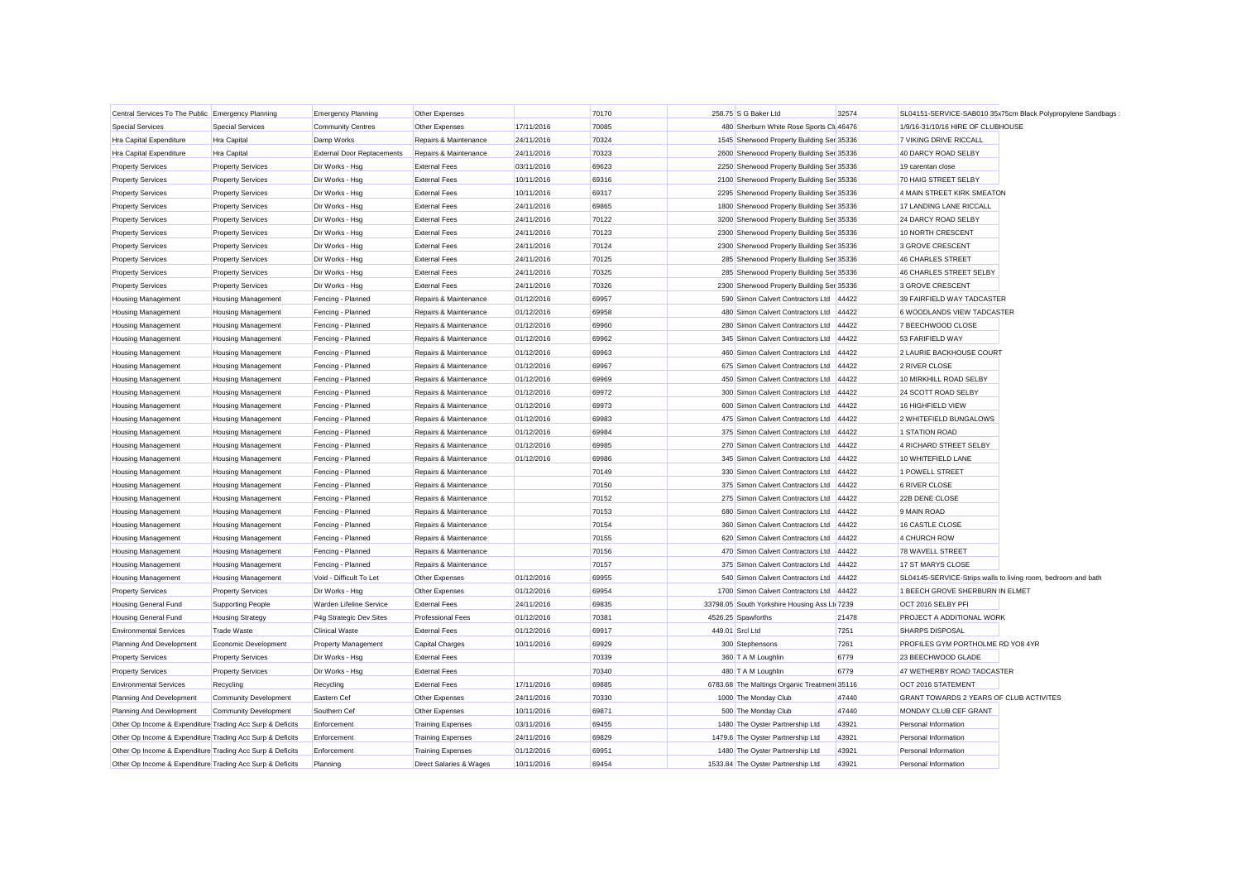| Central Services To The Public Emergency Planning         |                              | <b>Emergency Planning</b>         | Other Expenses           |            | 70170 |                 | 258.75 S G Baker Ltd                          | 32574 | SL04151-SERVICE-SAB010 35x75cm Black Polypropylene Sandbags   |
|-----------------------------------------------------------|------------------------------|-----------------------------------|--------------------------|------------|-------|-----------------|-----------------------------------------------|-------|---------------------------------------------------------------|
| <b>Special Services</b>                                   | <b>Special Services</b>      | <b>Community Centres</b>          | Other Expenses           | 17/11/2016 | 70085 |                 | 480 Sherburn White Rose Sports Clu 46476      |       | 1/9/16-31/10/16 HIRE OF CLUBHOUSE                             |
| Hra Capital Expenditure                                   | Hra Capital                  | Damp Works                        | Repairs & Maintenance    | 24/11/2016 | 70324 |                 | 1545 Sherwood Property Building Ser 35336     |       | 7 VIKING DRIVE RICCALL                                        |
| Hra Capital Expenditure                                   | Hra Capital                  | <b>External Door Replacements</b> | Repairs & Maintenance    | 24/11/2016 | 70323 |                 | 2600 Sherwood Property Building Ser 35336     |       | 40 DARCY ROAD SELBY                                           |
| <b>Property Services</b>                                  | <b>Property Services</b>     | Dir Works - Hsg                   | <b>External Fees</b>     | 03/11/2016 | 69623 |                 | 2250 Sherwood Property Building Ser 35336     |       | 19 carentan close                                             |
| <b>Property Services</b>                                  | <b>Property Services</b>     | Dir Works - Hsg                   | <b>External Fees</b>     | 10/11/2016 | 69316 |                 | 2100 Sherwood Property Building Ser 35336     |       | 70 HAIG STREET SELBY                                          |
| <b>Property Services</b>                                  | <b>Property Services</b>     | Dir Works - Hsg                   | <b>External Fees</b>     | 10/11/2016 | 69317 |                 | 2295 Sherwood Property Building Ser 35336     |       | 4 MAIN STREET KIRK SMEATON                                    |
| <b>Property Services</b>                                  | <b>Property Services</b>     | Dir Works - Hsg                   | <b>External Fees</b>     | 24/11/2016 | 69865 |                 | 1800 Sherwood Property Building Ser 35336     |       | 17 LANDING LANE RICCALL                                       |
| <b>Property Services</b>                                  | <b>Property Services</b>     | Dir Works - Hsg                   | <b>External Fees</b>     | 24/11/2016 | 70122 |                 | 3200 Sherwood Property Building Ser 35336     |       | 24 DARCY ROAD SELBY                                           |
| <b>Property Services</b>                                  | <b>Property Services</b>     | Dir Works - Hsg                   | <b>External Fees</b>     | 24/11/2016 | 70123 |                 | 2300 Sherwood Property Building Ser 35336     |       | 10 NORTH CRESCENT                                             |
| <b>Property Services</b>                                  | <b>Property Services</b>     | Dir Works - Hsg                   | <b>External Fees</b>     | 24/11/2016 | 70124 |                 | 2300 Sherwood Property Building Ser 35336     |       | 3 GROVE CRESCENT                                              |
| <b>Property Services</b>                                  | <b>Property Services</b>     | Dir Works - Hsg                   | <b>External Fees</b>     | 24/11/2016 | 70125 |                 | 285 Sherwood Property Building Ser 35336      |       | 46 CHARLES STREET                                             |
| <b>Property Services</b>                                  | <b>Property Services</b>     | Dir Works - Hsg                   | <b>External Fees</b>     | 24/11/2016 | 70325 |                 | 285 Sherwood Property Building Ser 35336      |       | 46 CHARLES STREET SELBY                                       |
| <b>Property Services</b>                                  | <b>Property Services</b>     | Dir Works - Hsg                   | <b>External Fees</b>     | 24/11/2016 | 70326 |                 | 2300 Sherwood Property Building Ser 35336     |       | 3 GROVE CRESCENT                                              |
| <b>Housing Management</b>                                 | <b>Housing Management</b>    | Fencing - Planned                 | Repairs & Maintenance    | 01/12/2016 | 69957 |                 | 590 Simon Calvert Contractors Ltd             | 44422 | 39 FAIRFIELD WAY TADCASTER                                    |
| <b>Housing Management</b>                                 | <b>Housing Management</b>    | Fencing - Planned                 | Repairs & Maintenance    | 01/12/2016 | 69958 |                 | 480 Simon Calvert Contractors Ltd             | 44422 | 6 WOODLANDS VIEW TADCASTER                                    |
| <b>Housing Management</b>                                 | <b>Housing Management</b>    | Fencing - Planned                 | Repairs & Maintenance    | 01/12/2016 | 69960 |                 | 280 Simon Calvert Contractors Ltd             | 44422 | 7 BEECHWOOD CLOSE                                             |
| <b>Housing Management</b>                                 | <b>Housing Management</b>    | Fencing - Planned                 | Repairs & Maintenance    | 01/12/2016 | 69962 |                 | 345 Simon Calvert Contractors Ltd             | 44422 | 53 FARIFIELD WAY                                              |
| <b>Housing Management</b>                                 | <b>Housing Management</b>    | Fencing - Planned                 | Repairs & Maintenance    | 01/12/2016 | 69963 |                 | 460 Simon Calvert Contractors Ltd             | 44422 | 2 LAURIE BACKHOUSE COURT                                      |
| Housing Management                                        | <b>Housing Management</b>    | Fencing - Planned                 | Repairs & Maintenance    | 01/12/2016 | 69967 |                 | 675 Simon Calvert Contractors Ltd             | 44422 | 2 RIVER CLOSE                                                 |
| Housing Management                                        | <b>Housing Management</b>    | Fencing - Planned                 | Repairs & Maintenance    | 01/12/2016 | 69969 |                 | 450 Simon Calvert Contractors Ltd             | 44422 | 10 MIRKHILL ROAD SELBY                                        |
| Housing Management                                        | <b>Housing Management</b>    | Fencing - Planned                 | Repairs & Maintenance    | 01/12/2016 | 69972 |                 | 300 Simon Calvert Contractors Ltd             | 44422 | 24 SCOTT ROAD SELBY                                           |
| Housing Management                                        | <b>Housing Management</b>    | Fencing - Planned                 | Repairs & Maintenance    | 01/12/2016 | 69973 |                 | 600 Simon Calvert Contractors Ltd             | 44422 | 16 HIGHFIELD VIEW                                             |
| <b>Housing Management</b>                                 | <b>Housing Management</b>    | Fencing - Planned                 | Repairs & Maintenance    | 01/12/2016 | 69983 |                 | 475 Simon Calvert Contractors Ltd             | 44422 | 2 WHITEFIELD BUNGALOWS                                        |
| <b>Housing Management</b>                                 | <b>Housing Management</b>    | Fencing - Planned                 | Repairs & Maintenance    | 01/12/2016 | 69984 |                 | 375 Simon Calvert Contractors Ltd             | 44422 | 1 STATION ROAD                                                |
| <b>Housing Management</b>                                 | <b>Housing Management</b>    | Fencing - Planned                 | Repairs & Maintenance    | 01/12/2016 | 69985 |                 | 270 Simon Calvert Contractors Ltd             | 44422 | 4 RICHARD STREET SELBY                                        |
| <b>Housing Management</b>                                 | <b>Housing Management</b>    | Fencing - Planned                 | Repairs & Maintenance    | 01/12/2016 | 69986 |                 | 345 Simon Calvert Contractors Ltd             | 44422 | 10 WHITEFIELD LANE                                            |
| <b>Housing Management</b>                                 | <b>Housing Management</b>    | Fencing - Planned                 | Repairs & Maintenance    |            | 70149 |                 | 330 Simon Calvert Contractors Ltd             | 44422 | 1 POWELL STREET                                               |
| <b>Housing Management</b>                                 | <b>Housing Management</b>    | Fencing - Planned                 | Repairs & Maintenance    |            | 70150 |                 | 375 Simon Calvert Contractors Ltd             | 44422 | 6 RIVER CLOSE                                                 |
| <b>Housing Management</b>                                 | <b>Housing Management</b>    | Fencing - Planned                 | Repairs & Maintenance    |            | 70152 |                 | 275 Simon Calvert Contractors Ltd             | 44422 | 22B DENE CLOSE                                                |
| <b>Housing Management</b>                                 | <b>Housing Management</b>    | Fencing - Planned                 | Repairs & Maintenance    |            | 70153 |                 | 680 Simon Calvert Contractors Ltd             | 44422 | 9 MAIN ROAD                                                   |
| <b>Housing Management</b>                                 | <b>Housing Management</b>    | Fencing - Planned                 | Repairs & Maintenance    |            | 70154 |                 | 360 Simon Calvert Contractors Ltd             | 44422 | 16 CASTLE CLOSE                                               |
| <b>Housing Management</b>                                 | <b>Housing Management</b>    | Fencing - Planned                 | Repairs & Maintenance    |            | 70155 |                 | 620 Simon Calvert Contractors Ltd             | 44422 | 4 CHURCH ROW                                                  |
| <b>Housing Management</b>                                 | <b>Housing Management</b>    | Fencing - Planned                 | Repairs & Maintenance    |            | 70156 |                 | 470 Simon Calvert Contractors Ltd             | 44422 | 78 WAVELL STREET                                              |
| <b>Housing Management</b>                                 | <b>Housing Management</b>    | Fencing - Planned                 | Repairs & Maintenance    |            | 70157 |                 | 375 Simon Calvert Contractors Ltd             | 44422 | 17 ST MARYS CLOSE                                             |
| <b>Housing Management</b>                                 | <b>Housing Management</b>    | Void - Difficult To Let           | Other Expenses           | 01/12/2016 | 69955 |                 | 540 Simon Calvert Contractors Ltd             | 44422 | SL04145-SERVICE-Strips walls to living room, bedroom and bath |
| <b>Property Services</b>                                  | <b>Property Services</b>     | Dir Works - Hsa                   | Other Expenses           | 01/12/2016 | 69954 |                 | 1700 Simon Calvert Contractors Ltd            | 44422 | 1 BEECH GROVE SHERBURN IN ELMET                               |
| <b>Housing General Fund</b>                               | Supporting People            | Warden Lifeline Service           | <b>External Fees</b>     | 24/11/2016 | 69835 |                 | 33798.05 South Yorkshire Housing Ass Ltd 7239 |       | OCT 2016 SELBY PFI                                            |
| <b>Housing General Fund</b>                               | <b>Housing Strategy</b>      | P4g Strategic Dev Sites           | <b>Professional Fees</b> | 01/12/2016 | 70381 |                 | 4526.25 Spawforths                            | 21478 | PROJECT A ADDITIONAL WORK                                     |
| <b>Environmental Services</b>                             | <b>Trade Waste</b>           | <b>Clinical Waste</b>             | <b>External Fees</b>     | 01/12/2016 | 69917 | 449.01 Srcl Ltd |                                               | 7251  | <b>SHARPS DISPOSAL</b>                                        |
| Planning And Development                                  | Economic Development         | <b>Property Management</b>        | Capital Charges          | 10/11/2016 | 69929 |                 | 300 Stephensons                               | 7261  | PROFILES GYM PORTHOLME RD YO8 4YR                             |
| <b>Property Services</b>                                  | <b>Property Services</b>     | Dir Works - Hsg                   | <b>External Fees</b>     |            | 70339 |                 | 360 T A M Loughlin                            | 6779  | 23 BEECHWOOD GLADE                                            |
| <b>Property Services</b>                                  | <b>Property Services</b>     | Dir Works - Hsg                   | <b>External Fees</b>     |            | 70340 |                 | 480 T A M Loughlin                            | 6779  | 47 WETHERBY ROAD TADCASTER                                    |
| <b>Environmental Services</b>                             | Recycling                    | Recycling                         | <b>External Fees</b>     | 17/11/2016 | 69885 |                 | 6783.68 The Maltings Organic Treatmen 35116   |       | OCT 2016 STATEMENT                                            |
| Planning And Development                                  | <b>Community Development</b> | Eastern Cef                       | Other Expenses           | 24/11/2016 | 70330 |                 | 1000 The Monday Club                          | 47440 | GRANT TOWARDS 2 YEARS OF CLUB ACTIVITES                       |
| Planning And Development                                  | <b>Community Development</b> | Southern Cef                      | Other Expenses           | 10/11/2016 | 69871 |                 | 500 The Monday Club                           | 47440 | MONDAY CLUB CEF GRANT                                         |
| Other Op Income & Expenditure Trading Acc Surp & Deficits |                              | Enforcement                       | <b>Training Expenses</b> | 03/11/2016 | 69455 |                 | 1480 The Oyster Partnership Ltd               | 43921 | Personal Information                                          |
| Other Op Income & Expenditure Trading Acc Surp & Deficits |                              | Enforcement                       | <b>Training Expenses</b> | 24/11/2016 | 69829 |                 | 1479.6 The Oyster Partnership Ltd             | 43921 | Personal Information                                          |
| Other Op Income & Expenditure Trading Acc Surp & Deficits |                              | Enforcement                       | <b>Training Expenses</b> | 01/12/2016 | 69951 |                 | 1480 The Oyster Partnership Ltd               | 43921 | Personal Information                                          |
| Other Op Income & Expenditure Trading Acc Surp & Deficits |                              | Planning                          | Direct Salaries & Wages  | 10/11/2016 | 69454 |                 | 1533.84 The Oyster Partnership Ltd            | 43921 | Personal Information                                          |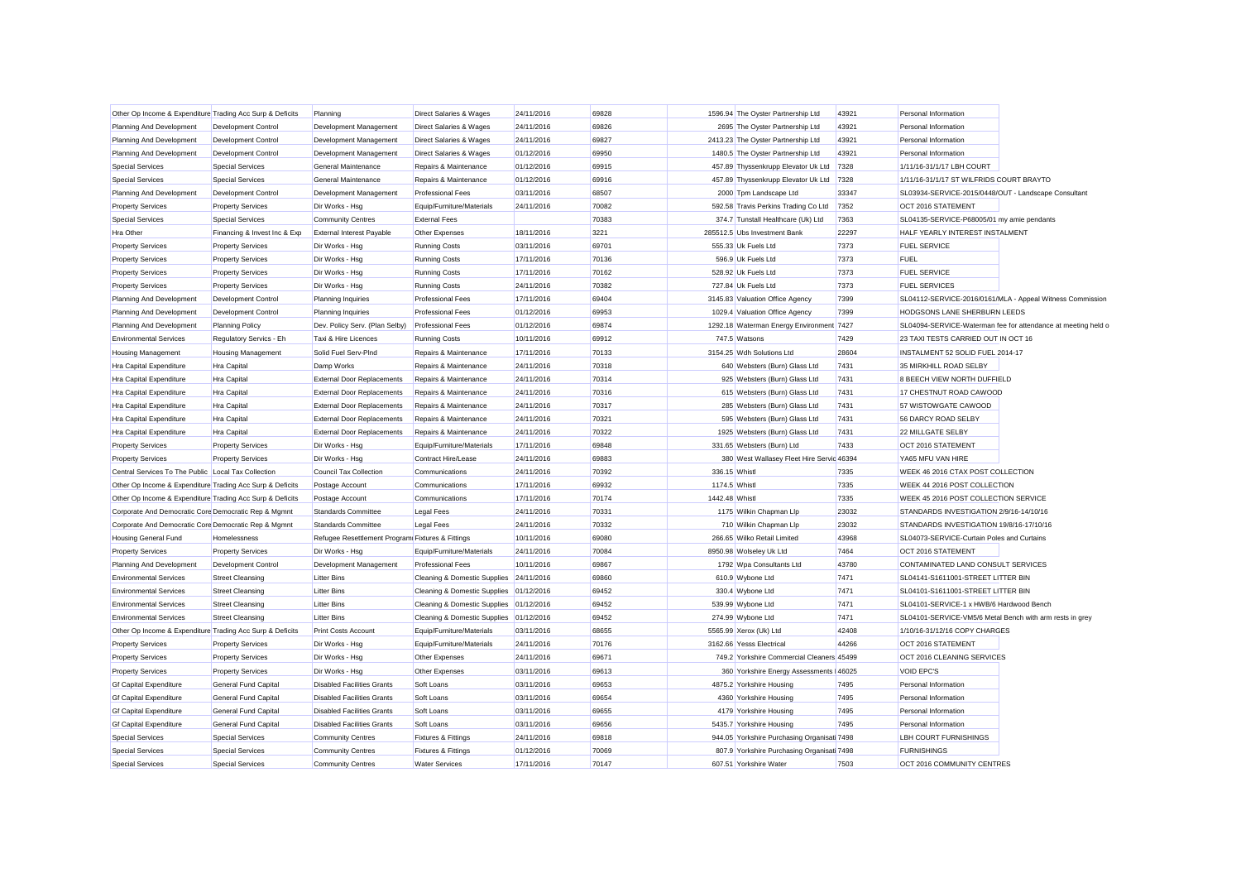| Other Op Income & Expenditure Trading Acc Surp & Deficits |                              | Planning                                         | <b>Direct Salaries &amp; Wages</b>      | 24/11/2016 | 69828 |                | 1596.94 The Oyster Partnership Ltd         | 43921 | Personal Information                                     |                                                                |
|-----------------------------------------------------------|------------------------------|--------------------------------------------------|-----------------------------------------|------------|-------|----------------|--------------------------------------------|-------|----------------------------------------------------------|----------------------------------------------------------------|
| Planning And Development                                  | Development Control          | Development Management                           | <b>Direct Salaries &amp; Wages</b>      | 24/11/2016 | 69826 |                | 2695 The Oyster Partnership Ltd            | 43921 | Personal Information                                     |                                                                |
| Planning And Development                                  | Development Control          | Development Management                           | Direct Salaries & Wages                 | 24/11/2016 | 69827 |                | 2413.23 The Oyster Partnership Ltd         | 43921 | Personal Information                                     |                                                                |
| Planning And Development                                  | Development Control          | Development Management                           | Direct Salaries & Wages                 | 01/12/2016 | 69950 |                | 1480.5 The Oyster Partnership Ltd          | 43921 | Personal Information                                     |                                                                |
| <b>Special Services</b>                                   | <b>Special Services</b>      | General Maintenance                              | Repairs & Maintenance                   | 01/12/2016 | 69915 |                | 457.89 Thyssenkrupp Elevator Uk Ltd        | 7328  | 1/11/16-31/1/17 LBH COURT                                |                                                                |
| <b>Special Services</b>                                   | <b>Special Services</b>      | General Maintenance                              | Repairs & Maintenance                   | 01/12/2016 | 69916 |                | 457.89 Thyssenkrupp Elevator Uk Ltd        | 7328  | 1/11/16-31/1/17 ST WILFRIDS COURT BRAYTO                 |                                                                |
| Planning And Development                                  | Development Control          | Development Management                           | <b>Professional Fees</b>                | 03/11/2016 | 68507 |                | 2000 Tpm Landscape Ltd                     | 33347 | SL03934-SERVICE-2015/0448/OUT - Landscape Consultant     |                                                                |
| <b>Property Services</b>                                  | <b>Property Services</b>     | Dir Works - Hsg                                  | Equip/Furniture/Materials               | 24/11/2016 | 70082 |                | 592.58 Travis Perkins Trading Co Ltd       | 7352  | OCT 2016 STATEMENT                                       |                                                                |
| <b>Special Services</b>                                   | <b>Special Services</b>      | <b>Community Centres</b>                         | <b>External Fees</b>                    |            | 70383 |                | 374.7 Tunstall Healthcare (Uk) Ltd         | 7363  | SL04135-SERVICE-P68005/01 my amie pendants               |                                                                |
| Hra Other                                                 | Financing & Invest Inc & Exp | <b>External Interest Payable</b>                 | Other Expenses                          | 18/11/2016 | 3221  |                | 285512.5 Ubs Investment Bank               | 22297 | HALF YEARLY INTEREST INSTALMENT                          |                                                                |
| <b>Property Services</b>                                  | <b>Property Services</b>     | Dir Works - Hsg                                  | <b>Running Costs</b>                    | 03/11/2016 | 69701 |                | 555.33 Uk Fuels Ltd                        | 7373  | <b>FUEL SERVICE</b>                                      |                                                                |
| <b>Property Services</b>                                  | <b>Property Services</b>     | Dir Works - Hsg                                  | <b>Running Costs</b>                    | 17/11/2016 | 70136 |                | 596.9 Uk Fuels Ltd                         | 7373  | FUEL                                                     |                                                                |
| <b>Property Services</b>                                  | <b>Property Services</b>     | Dir Works - Hsg                                  | <b>Running Costs</b>                    | 17/11/2016 | 70162 |                | 528.92 Uk Fuels Ltd                        | 7373  | <b>FUEL SERVICE</b>                                      |                                                                |
| <b>Property Services</b>                                  | <b>Property Services</b>     | Dir Works - Hsg                                  | <b>Running Costs</b>                    | 24/11/2016 | 70382 |                | 727.84 Uk Fuels Ltd                        | 7373  | <b>FUEL SERVICES</b>                                     |                                                                |
| Planning And Development                                  | <b>Development Control</b>   | Planning Inquiries                               | <b>Professional Fees</b>                | 17/11/2016 | 69404 |                | 3145.83 Valuation Office Agency            | 7399  |                                                          | SL04112-SERVICE-2016/0161/MLA - Appeal Witness Commission      |
| Planning And Development                                  | Development Control          | Planning Inquiries                               | <b>Professional Fees</b>                | 01/12/2016 | 69953 |                | 1029.4 Valuation Office Agency             | 7399  | HODGSONS LANE SHERBURN LEEDS                             |                                                                |
| Planning And Development                                  | <b>Planning Policy</b>       | Dev. Policy Serv. (Plan Selby)                   | <b>Professional Fees</b>                | 01/12/2016 | 69874 |                | 1292.18 Waterman Energy Environment 7427   |       |                                                          | SL04094-SERVICE-Waterman fee for attendance at meeting held of |
| <b>Environmental Services</b>                             | Regulatory Servics - Eh      | Taxi & Hire Licences                             | <b>Running Costs</b>                    | 10/11/2016 | 69912 |                | 747.5 Watsons                              | 7429  | 23 TAXI TESTS CARRIED OUT IN OCT 16                      |                                                                |
| <b>Housing Management</b>                                 | <b>Housing Management</b>    | Solid Fuel Serv-PInd                             | Repairs & Maintenance                   | 17/11/2016 | 70133 |                | 3154.25 Wdh Solutions Ltd                  | 28604 | INSTALMENT 52 SOLID FUEL 2014-17                         |                                                                |
| <b>Hra Capital Expenditure</b>                            | Hra Capital                  | Damp Works                                       | Repairs & Maintenance                   | 24/11/2016 | 70318 |                | 640 Websters (Burn) Glass Ltd              | 7431  | 35 MIRKHILL ROAD SELBY                                   |                                                                |
| Hra Capital Expenditure                                   | Hra Capital                  | <b>External Door Replacements</b>                | Repairs & Maintenance                   | 24/11/2016 | 70314 |                | 925 Websters (Burn) Glass Ltd              | 7431  | 8 BEECH VIEW NORTH DUFFIELD                              |                                                                |
| Hra Capital Expenditure                                   | Hra Capital                  | <b>External Door Replacements</b>                | Repairs & Maintenance                   | 24/11/2016 | 70316 |                | 615 Websters (Burn) Glass Ltd              | 7431  | 17 CHESTNUT ROAD CAWOOD                                  |                                                                |
| Hra Capital Expenditure                                   | Hra Capital                  | <b>External Door Replacements</b>                | Repairs & Maintenance                   | 24/11/2016 | 70317 |                | 285 Websters (Burn) Glass Ltd              | 7431  | 57 WISTOWGATE CAWOOD                                     |                                                                |
| Hra Capital Expenditure                                   | Hra Capital                  | <b>External Door Replacements</b>                | Repairs & Maintenance                   | 24/11/2016 | 70321 |                | 595 Websters (Burn) Glass Ltd              | 7431  | 56 DARCY ROAD SELBY                                      |                                                                |
| Hra Capital Expenditure                                   | Hra Capital                  | <b>External Door Replacements</b>                | Repairs & Maintenance                   | 24/11/2016 | 70322 |                | 1925 Websters (Burn) Glass Ltd             | 7431  | 22 MILLGATE SELBY                                        |                                                                |
| <b>Property Services</b>                                  | <b>Property Services</b>     | Dir Works - Hsa                                  | Equip/Furniture/Materials               | 17/11/2016 | 69848 |                | 331.65 Websters (Burn) Ltd                 | 7433  | OCT 2016 STATEMENT                                       |                                                                |
| <b>Property Services</b>                                  | <b>Property Services</b>     | Dir Works - Hsg                                  | Contract Hire/Lease                     | 24/11/2016 | 69883 |                | 380 West Wallasey Fleet Hire Servic 46394  |       | YA65 MFU VAN HIRE                                        |                                                                |
| Central Services To The Public Local Tax Collection       |                              | <b>Council Tax Collection</b>                    | Communications                          | 24/11/2016 | 70392 | 336.15 Whistl  |                                            | 7335  | WEEK 46 2016 CTAX POST COLLECTION                        |                                                                |
| Other Op Income & Expenditure Trading Acc Surp & Deficits |                              | Postage Account                                  | Communications                          | 17/11/2016 | 69932 | 1174.5 Whist   |                                            | 7335  | WEEK 44 2016 POST COLLECTION                             |                                                                |
| Other Op Income & Expenditure Trading Acc Surp & Deficits |                              | Postage Account                                  | Communications                          | 17/11/2016 | 70174 | 1442.48 Whistl |                                            | 7335  | WEEK 45 2016 POST COLLECTION SERVICE                     |                                                                |
| Corporate And Democratic Core Democratic Rep & Mgmnt      |                              | <b>Standards Committee</b>                       | <b>Legal Fees</b>                       | 24/11/2016 | 70331 |                | 1175 Wilkin Chapman Llp                    | 23032 | STANDARDS INVESTIGATION 2/9/16-14/10/16                  |                                                                |
| Corporate And Democratic Core Democratic Rep & Mgmnt      |                              | <b>Standards Committee</b>                       | <b>Legal Fees</b>                       | 24/11/2016 | 70332 |                | 710 Wilkin Chapman Llp                     | 23032 | STANDARDS INVESTIGATION 19/8/16-17/10/16                 |                                                                |
| <b>Housing General Fund</b>                               | Homelessness                 | Refugee Resettlement Program Fixtures & Fittings |                                         | 10/11/2016 | 69080 |                | 266.65 Wilko Retail Limited                | 43968 | SL04073-SERVICE-Curtain Poles and Curtains               |                                                                |
| <b>Property Services</b>                                  | <b>Property Services</b>     | Dir Works - Hsg                                  | Equip/Furniture/Materials               | 24/11/2016 | 70084 |                | 8950.98 Wolseley Uk Ltd                    | 7464  | OCT 2016 STATEMENT                                       |                                                                |
| Planning And Development                                  | Development Control          | Development Management                           | <b>Professional Fees</b>                | 10/11/2016 | 69867 |                | 1792 Wpa Consultants Ltd                   | 43780 | CONTAMINATED LAND CONSULT SERVICES                       |                                                                |
| <b>Environmental Services</b>                             | <b>Street Cleansing</b>      | <b>Litter Bins</b>                               | <b>Cleaning &amp; Domestic Supplies</b> | 24/11/2016 | 69860 |                | 610.9 Wybone Ltd                           | 7471  | SL04141-S1611001-STREET LITTER BIN                       |                                                                |
| <b>Environmental Services</b>                             | <b>Street Cleansing</b>      | <b>Litter Bins</b>                               | <b>Cleaning &amp; Domestic Supplies</b> | 01/12/2016 | 69452 |                | 330.4 Wybone Ltd                           | 7471  | SL04101-S1611001-STREET LITTER BIN                       |                                                                |
| <b>Environmental Services</b>                             | <b>Street Cleansing</b>      | <b>Litter Bins</b>                               | Cleaning & Domestic Supplies            | 01/12/2016 | 69452 |                | 539.99 Wybone Ltd                          | 7471  | SL04101-SERVICE-1 x HWB/6 Hardwood Bench                 |                                                                |
| <b>Environmental Services</b>                             | <b>Street Cleansing</b>      | <b>Litter Bins</b>                               | <b>Cleaning &amp; Domestic Supplies</b> | 01/12/2016 | 69452 |                | 274.99 Wybone Ltd                          | 7471  | SL04101-SERVICE-VM5/6 Metal Bench with arm rests in grey |                                                                |
| Other Op Income & Expenditure Trading Acc Surp & Deficits |                              | <b>Print Costs Account</b>                       | Equip/Furniture/Materials               | 03/11/2016 | 68655 |                | 5565.99 Xerox (Uk) Ltd                     | 42408 | 1/10/16-31/12/16 COPY CHARGES                            |                                                                |
| <b>Property Services</b>                                  | <b>Property Services</b>     | Dir Works - Hsg                                  | Equip/Furniture/Materials               | 24/11/2016 | 70176 |                | 3162.66 Yesss Electrical                   | 44266 | OCT 2016 STATEMENT                                       |                                                                |
| <b>Property Services</b>                                  | <b>Property Services</b>     | Dir Works - Hsg                                  | Other Expenses                          | 24/11/2016 | 69671 |                | 749.2 Yorkshire Commercial Cleaners 45499  |       | OCT 2016 CLEANING SERVICES                               |                                                                |
| <b>Property Services</b>                                  | <b>Property Services</b>     | Dir Works - Hsg                                  | Other Expenses                          | 03/11/2016 | 69613 |                | 360 Yorkshire Energy Assessments   46025   |       | <b>VOID EPC'S</b>                                        |                                                                |
| <b>Gf Capital Expenditure</b>                             | General Fund Capital         | <b>Disabled Facilities Grants</b>                | Soft Loans                              | 03/11/2016 | 69653 |                | 4875.2 Yorkshire Housing                   | 7495  | Personal Information                                     |                                                                |
| <b>Gf Capital Expenditure</b>                             | General Fund Capital         | <b>Disabled Facilities Grants</b>                | Soft Loans                              | 03/11/2016 | 69654 |                | 4360 Yorkshire Housing                     | 7495  | Personal Information                                     |                                                                |
| <b>Gf Capital Expenditure</b>                             | General Fund Capital         | <b>Disabled Facilities Grants</b>                | Soft Loans                              | 03/11/2016 | 69655 |                | 4179 Yorkshire Housing                     | 7495  | Personal Information                                     |                                                                |
| <b>Gf Capital Expenditure</b>                             | General Fund Capital         | <b>Disabled Facilities Grants</b>                | Soft Loans                              | 03/11/2016 | 69656 |                | 5435.7 Yorkshire Housing                   | 7495  | Personal Information                                     |                                                                |
| <b>Special Services</b>                                   | <b>Special Services</b>      | <b>Community Centres</b>                         | <b>Fixtures &amp; Fittings</b>          | 24/11/2016 | 69818 |                | 944.05 Yorkshire Purchasing Organisat 7498 |       | <b>LBH COURT FURNISHINGS</b>                             |                                                                |
| <b>Special Services</b>                                   | <b>Special Services</b>      | <b>Community Centres</b>                         | <b>Fixtures &amp; Fittings</b>          | 01/12/2016 | 70069 |                | 807.9 Yorkshire Purchasing Organisat 7498  |       | <b>FURNISHINGS</b>                                       |                                                                |
| <b>Special Services</b>                                   | <b>Special Services</b>      | <b>Community Centres</b>                         | <b>Water Services</b>                   | 17/11/2016 | 70147 |                | 607.51 Yorkshire Water                     | 7503  | OCT 2016 COMMUNITY CENTRES                               |                                                                |
|                                                           |                              |                                                  |                                         |            |       |                |                                            |       |                                                          |                                                                |